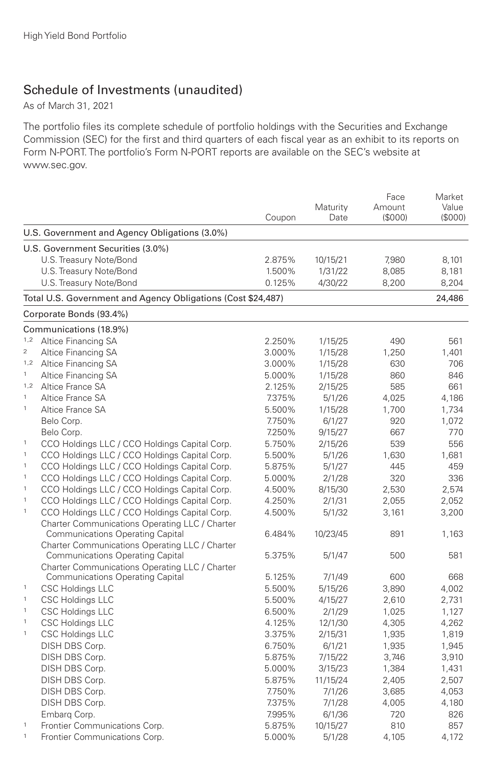## Schedule of Investments (unaudited)

As of March 31, 2021

The portfolio files its complete schedule of portfolio holdings with the Securities and Exchange Commission (SEC) for the first and third quarters of each fiscal year as an exhibit to its reports on Form N-PORT. The portfolio's Form N-PORT reports are available on the SEC's website at www.sec.gov.

|                |                                                              | Coupon | Maturity<br>Date | Face<br>Amount<br>(\$000) | Market<br>Value<br>(S000) |
|----------------|--------------------------------------------------------------|--------|------------------|---------------------------|---------------------------|
|                | U.S. Government and Agency Obligations (3.0%)                |        |                  |                           |                           |
|                | U.S. Government Securities (3.0%)                            |        |                  |                           |                           |
|                | U.S. Treasury Note/Bond                                      | 2.875% | 10/15/21         | 7,980                     | 8,101                     |
|                | U.S. Treasury Note/Bond                                      | 1.500% | 1/31/22          | 8,085                     | 8,181                     |
|                | U.S. Treasury Note/Bond                                      | 0.125% | 4/30/22          | 8,200                     | 8,204                     |
|                | Total U.S. Government and Agency Obligations (Cost \$24,487) |        |                  |                           | 24,486                    |
|                | Corporate Bonds (93.4%)                                      |        |                  |                           |                           |
|                | Communications (18.9%)                                       |        |                  |                           |                           |
| 1,2            | Altice Financing SA                                          | 2.250% | 1/15/25          | 490                       | 561                       |
| $\overline{c}$ | Altice Financing SA                                          | 3.000% | 1/15/28          | 1,250                     | 1,401                     |
| 1,2            | Altice Financing SA                                          | 3.000% | 1/15/28          | 630                       | 706                       |
| $\mathbf{1}$   | Altice Financing SA                                          | 5.000% | 1/15/28          | 860                       | 846                       |
|                | 1,2 Altice France SA                                         | 2.125% | 2/15/25          | 585                       | 661                       |
| $\mathbf{1}$   | Altice France SA                                             | 7.375% | 5/1/26           | 4.025                     | 4,186                     |
| $\mathbf{1}$   | Altice France SA                                             | 5.500% | 1/15/28          | 1,700                     | 1,734                     |
|                | Belo Corp.                                                   | 7.750% | 6/1/27           | 920                       | 1,072                     |
|                | Belo Corp.                                                   | 7.250% | 9/15/27          | 667                       | 770                       |
| $\mathbf{1}$   | CCO Holdings LLC / CCO Holdings Capital Corp.                | 5.750% | 2/15/26          | 539                       | 556                       |
| $\mathbf{1}$   | CCO Holdings LLC / CCO Holdings Capital Corp.                | 5.500% | 5/1/26           | 1.630                     | 1.681                     |
| $\,$ 1         | CCO Holdings LLC / CCO Holdings Capital Corp.                | 5.875% | 5/1/27           | 445                       | 459                       |
| $\mathbf{1}$   | CCO Holdings LLC / CCO Holdings Capital Corp.                | 5.000% | 2/1/28           | 320                       | 336                       |
| $\mathbf{1}$   | CCO Holdings LLC / CCO Holdings Capital Corp.                | 4.500% | 8/15/30          | 2,530                     | 2,574                     |
| $\,$ 1 $\,$    | CCO Holdings LLC / CCO Holdings Capital Corp.                | 4.250% | 2/1/31           | 2,055                     | 2,052                     |
| $\mathbf{1}$   | CCO Holdings LLC / CCO Holdings Capital Corp.                | 4.500% | 5/1/32           | 3,161                     | 3,200                     |
|                | Charter Communications Operating LLC / Charter               |        |                  |                           |                           |
|                | <b>Communications Operating Capital</b>                      | 6.484% | 10/23/45         | 891                       | 1,163                     |
|                | Charter Communications Operating LLC / Charter               |        |                  |                           |                           |
|                | <b>Communications Operating Capital</b>                      | 5.375% | 5/1/47           | 500                       | 581                       |
|                | Charter Communications Operating LLC / Charter               |        |                  |                           |                           |
|                | <b>Communications Operating Capital</b>                      | 5.125% | 7/1/49           | 600                       | 668                       |
| $\mathbf{1}$   | <b>CSC Holdings LLC</b>                                      | 5.500% | 5/15/26          | 3,890                     | 4,002                     |
| $\mathbf{1}$   | <b>CSC Holdings LLC</b>                                      | 5.500% | 4/15/27          | 2.610                     | 2,731                     |
| $\,$ 1 $\,$    | <b>CSC Holdings LLC</b>                                      | 6.500% | 2/1/29           | 1,025                     | 1,127                     |
| $\mathbf{1}$   | <b>CSC Holdings LLC</b>                                      | 4.125% | 12/1/30          | 4,305                     | 4,262                     |
| $\mathbf{1}$   | <b>CSC Holdings LLC</b>                                      | 3.375% | 2/15/31          | 1,935                     | 1,819                     |
|                | DISH DBS Corp.                                               | 6.750% | 6/1/21           | 1,935                     | 1,945                     |
|                | DISH DBS Corp.                                               | 5.875% | 7/15/22          | 3,746                     | 3,910                     |
|                | DISH DBS Corp.                                               | 5.000% | 3/15/23          | 1,384                     | 1,431                     |
|                | DISH DBS Corp.                                               | 5.875% | 11/15/24         | 2,405                     | 2,507                     |
|                | DISH DBS Corp.                                               | 7.750% | 7/1/26           | 3,685                     | 4,053                     |
|                | DISH DBS Corp.                                               | 7.375% | 7/1/28           | 4,005                     | 4,180                     |
|                | Embarg Corp.                                                 | 7.995% | 6/1/36           | 720                       | 826                       |
| $\,$ 1         | Frontier Communications Corp.                                | 5.875% | 10/15/27         | 810                       | 857                       |
| $\mathbf{1}$   | Frontier Communications Corp.                                | 5.000% | 5/1/28           | 4,105                     | 4,172                     |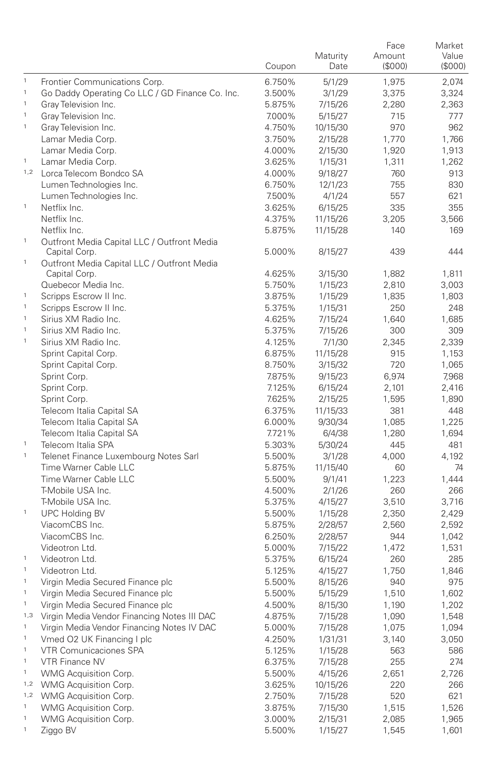|                             |                                                              |                  |                    | Face         | Market       |
|-----------------------------|--------------------------------------------------------------|------------------|--------------------|--------------|--------------|
|                             |                                                              |                  | Maturity           | Amount       | Value        |
|                             |                                                              | Coupon           | Date               | (\$000)      | (S000)       |
| $\mathbf{1}$                | Frontier Communications Corp.                                | 6.750%           | 5/1/29             | 1,975        | 2,074        |
| $\mathbf 1$                 | Go Daddy Operating Co LLC / GD Finance Co. Inc.              | 3.500%           | 3/1/29             | 3,375        | 3,324        |
| $\,$ 1                      | Gray Television Inc.                                         | 5.875%           | 7/15/26            | 2,280        | 2,363        |
| $\mathbf{1}$                | Gray Television Inc.                                         | 7.000%           | 5/15/27            | 715          | 777          |
| $\mathbf{1}$                | Gray Television Inc.                                         | 4.750%           | 10/15/30           | 970          | 962          |
|                             | Lamar Media Corp.                                            | 3.750%           | 2/15/28            | 1,770        | 1,766        |
|                             | Lamar Media Corp.                                            | 4.000%           | 2/15/30            | 1,920        | 1,913        |
| $\,$ 1 $\,$                 | Lamar Media Corp.                                            | 3.625%           | 1/15/31            | 1,311        | 1,262        |
|                             | 1,2 Lorca Telecom Bondco SA                                  | 4.000%           | 9/18/27            | 760          | 913          |
|                             | Lumen Technologies Inc.                                      | 6.750%           | 12/1/23            | 755          | 830          |
|                             | Lumen Technologies Inc.                                      | 7.500%           | 4/1/24             | 557          | 621          |
| $\,$ 1 $\,$                 | Netflix Inc.                                                 | 3.625%           | 6/15/25            | 335          | 355          |
|                             | Netflix Inc.                                                 | 4.375%           | 11/15/26           | 3,205        | 3,566        |
|                             | Netflix Inc.                                                 | 5.875%           | 11/15/28           | 140          | 169          |
| $\,$ 1                      | Outfront Media Capital LLC / Outfront Media                  |                  |                    | 439          | 444          |
| $\mathbf{1}$                | Capital Corp.<br>Outfront Media Capital LLC / Outfront Media | 5.000%           | 8/15/27            |              |              |
|                             | Capital Corp.                                                | 4.625%           | 3/15/30            | 1,882        | 1,811        |
|                             | Quebecor Media Inc.                                          | 5.750%           | 1/15/23            | 2,810        | 3,003        |
| $\mathbf{1}$                | Scripps Escrow II Inc.                                       | 3.875%           | 1/15/29            | 1,835        | 1,803        |
| $\mathbf{1}$                | Scripps Escrow II Inc.                                       | 5.375%           | 1/15/31            | 250          | 248          |
| $\mathbf{1}$                | Sirius XM Radio Inc.                                         | 4.625%           | 7/15/24            | 1,640        | 1,685        |
| $\mathbf{1}$                | Sirius XM Radio Inc.                                         | 5.375%           | 7/15/26            | 300          | 309          |
| $\mathbf{1}$                | Sirius XM Radio Inc.                                         | 4.125%           |                    | 2,345        | 2,339        |
|                             | Sprint Capital Corp.                                         | 6.875%           | 7/1/30<br>11/15/28 | 915          | 1,153        |
|                             | Sprint Capital Corp.                                         | 8.750%           | 3/15/32            | 720          |              |
|                             | Sprint Corp.                                                 | 7.875%           |                    |              | 1,065        |
|                             | Sprint Corp.                                                 | 7.125%           | 9/15/23            | 6,974        | 7,968        |
|                             | Sprint Corp.                                                 | 7.625%           | 6/15/24            | 2,101        | 2,416        |
|                             | Telecom Italia Capital SA                                    | 6.375%           | 2/15/25            | 1,595<br>381 | 1,890<br>448 |
|                             | Telecom Italia Capital SA                                    | 6.000%           | 11/15/33           | 1,085        | 1,225        |
|                             | Telecom Italia Capital SA                                    | 7.721%           | 9/30/34<br>6/4/38  | 1,280        | 1,694        |
| $\mathbf{1}$                | Telecom Italia SPA                                           | 5.303%           | 5/30/24            | 445          | 481          |
| $\mathbf{1}$                | Telenet Finance Luxembourg Notes Sarl                        | 5.500%           | 3/1/28             | 4,000        | 4,192        |
|                             | Time Warner Cable LLC                                        | 5.875%           | 11/15/40           | 60           | 74           |
|                             | Time Warner Cable LLC                                        | 5.500%           | 9/1/41             | 1,223        | 1,444        |
|                             | T-Mobile USA Inc.                                            | 4.500%           | 2/1/26             | 260          | 266          |
|                             | T-Mobile USA Inc.                                            | 5.375%           | 4/15/27            | 3,510        | 3,716        |
| $\mathbf{1}$                | <b>UPC Holding BV</b>                                        | 5.500%           | 1/15/28            | 2,350        | 2,429        |
|                             | ViacomCBS Inc.                                               | 5.875%           | 2/28/57            | 2,560        | 2,592        |
|                             | ViacomCBS Inc.                                               | 6.250%           |                    | 944          | 1,042        |
|                             | Videotron Ltd.                                               | 5.000%           | 2/28/57            | 1,472        | 1,531        |
| $\mathbf{1}$                | Videotron Ltd.                                               |                  | 7/15/22            | 260          | 285          |
| $\mathbf{1}$                | Videotron Ltd.                                               | 5.375%<br>5.125% | 6/15/24            | 1,750        | 1,846        |
| $\mathbf{1}$                | Virgin Media Secured Finance plc                             |                  | 4/15/27<br>8/15/26 | 940          | 975          |
| $\,$ 1                      | Virgin Media Secured Finance plc                             | 5.500%           |                    |              |              |
| $\mathbf{1}$                | Virgin Media Secured Finance plc                             | 5.500%           | 5/15/29            | 1,510        | 1,602        |
| 1,3                         |                                                              | 4.500%           | 8/15/30            | 1,190        | 1,202        |
| $\ensuremath{\mathsf{1}}$   | Virgin Media Vendor Financing Notes III DAC                  | 4.875%           | 7/15/28            | 1,090        | 1,548        |
| $\mathbf 1$                 | Virgin Media Vendor Financing Notes IV DAC                   | 5.000%           | 7/15/28            | 1,075        | 1,094        |
| $\mathbf{1}$                | Vmed O2 UK Financing I plc<br>VTR Comunicaciones SPA         | 4.250%           | 1/31/31            | 3,140        | 3,050        |
| $\mathbf 1$                 |                                                              | 5.125%           | 1/15/28            | 563          | 586          |
| $\mathbf{1}$                | VTR Finance NV                                               | 6.375%           | 7/15/28            | 255          | 274          |
|                             | WMG Acquisition Corp.                                        | 5.500%           | 4/15/26            | 2,651        | 2,726        |
| 1,2                         | WMG Acquisition Corp.                                        | 3.625%           | 10/15/26           | 220          | 266          |
| 1,2                         | WMG Acquisition Corp.                                        | 2.750%           | 7/15/28            | 520          | 621          |
| $\mathbf{1}$<br>$\mathbf 1$ | WMG Acquisition Corp.                                        | 3.875%           | 7/15/30            | 1,515        | 1,526        |
|                             | WMG Acquisition Corp.                                        | 3.000%           | 2/15/31            | 2,085        | 1,965        |
| $\mathbf 1$                 | Ziggo BV                                                     | 5.500%           | 1/15/27            | 1,545        | 1,601        |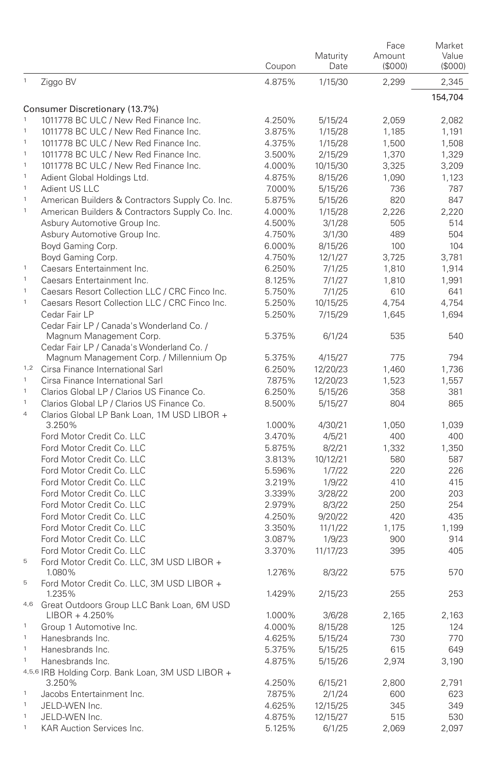|                             |                                                                 | Coupon           | Maturity<br>Date    | Face<br>Amount<br>(S000) | Market<br>Value<br>(S000) |
|-----------------------------|-----------------------------------------------------------------|------------------|---------------------|--------------------------|---------------------------|
| $\mathbf{1}$                | Ziggo BV                                                        | 4.875%           | 1/15/30             | 2,299                    | 2,345                     |
|                             |                                                                 |                  |                     |                          | 154,704                   |
|                             | Consumer Discretionary (13.7%)                                  |                  |                     |                          |                           |
| $\mathbf 1$                 | 1011778 BC ULC / New Red Finance Inc.                           | 4.250%           | 5/15/24             | 2,059                    | 2,082                     |
| $\,$ 1 $\,$                 | 1011778 BC ULC / New Red Finance Inc.                           | 3.875%           | 1/15/28             | 1,185                    | 1,191                     |
| $\mathbf{1}$<br>$\,$ 1 $\,$ | 1011778 BC ULC / New Red Finance Inc.                           | 4.375%           | 1/15/28             | 1,500                    | 1,508                     |
| $\mathbf{1}$                | 1011778 BC ULC / New Red Finance Inc.                           | 3.500%           | 2/15/29             | 1,370                    | 1,329                     |
| $\mathbf 1$                 | 1011778 BC ULC / New Red Finance Inc.                           | 4.000%           | 10/15/30            | 3,325                    | 3,209                     |
| $\mathbf{1}$                | Adient Global Holdings Ltd.                                     | 4.875%           | 8/15/26             | 1,090                    | 1.123                     |
| $\mathbf{1}$                | Adient US LLC                                                   | 7.000%           | 5/15/26             | 736                      | 787                       |
| $\mathbf{1}$                | American Builders & Contractors Supply Co. Inc.                 | 5.875%           | 5/15/26             | 820                      | 847<br>2.220              |
|                             | American Builders & Contractors Supply Co. Inc.                 | 4.000%           | 1/15/28             | 2,226<br>505             | 514                       |
|                             | Asbury Automotive Group Inc.                                    | 4.500%<br>4.750% | 3/1/28              | 489                      | 504                       |
|                             | Asbury Automotive Group Inc.<br>Boyd Gaming Corp.               | 6.000%           | 3/1/30<br>8/15/26   | 100                      | 104                       |
|                             | Boyd Gaming Corp.                                               | 4.750%           | 12/1/27             | 3,725                    | 3,781                     |
| $\mathbf{1}$                | Caesars Entertainment Inc.                                      | 6.250%           | 7/1/25              | 1,810                    | 1,914                     |
| $\mathbf{1}$                | Caesars Entertainment Inc.                                      |                  |                     |                          |                           |
| $\mathbf{1}$                | Caesars Resort Collection LLC / CRC Finco Inc.                  | 8.125%<br>5.750% | 7/1/27              | 1,810                    | 1,991                     |
| $\mathbf{1}$                |                                                                 |                  | 7/1/25              | 610                      | 641                       |
|                             | Caesars Resort Collection LLC / CRC Finco Inc.<br>Cedar Fair LP | 5.250%<br>5.250% | 10/15/25<br>7/15/29 | 4,754                    | 4,754                     |
|                             | Cedar Fair LP / Canada's Wonderland Co. /                       |                  |                     | 1,645                    | 1,694                     |
|                             | Magnum Management Corp.                                         | 5.375%           | 6/1/24              | 535                      | 540                       |
|                             | Cedar Fair LP / Canada's Wonderland Co. /                       |                  |                     |                          |                           |
|                             | Magnum Management Corp. / Millennium Op                         | 5.375%           | 4/15/27             | 775                      | 794                       |
|                             | 1,2 Cirsa Finance International Sarl                            | 6.250%           | 12/20/23            | 1,460                    | 1,736                     |
| $\mathbf{1}$                | Cirsa Finance International Sarl                                | 7.875%           | 12/20/23            | 1,523                    | 1.557                     |
| $\mathbf{1}$                | Clarios Global LP / Clarios US Finance Co.                      | 6.250%           | 5/15/26             | 358                      | 381                       |
| $\mathbf{1}$                | Clarios Global LP / Clarios US Finance Co.                      | 8.500%           | 5/15/27             | 804                      | 865                       |
| $\overline{4}$              | Clarios Global LP Bank Loan, 1M USD LIBOR +                     |                  |                     |                          |                           |
|                             | 3.250%                                                          | 1.000%           | 4/30/21             | 1,050                    | 1,039                     |
|                             | Ford Motor Credit Co. LLC                                       | 3.470%           | 4/5/21              | 400                      | 400                       |
|                             | Ford Motor Credit Co. LLC                                       | 5.875%           | 8/2/21              | 1,332                    | 1,350                     |
|                             | Ford Motor Credit Co. LLC                                       | 3.813%           | 10/12/21            | 580                      | 587                       |
|                             | Ford Motor Credit Co. LLC                                       | 5.596%           | 1/7/22              | 220                      | 226                       |
|                             | Ford Motor Credit Co. LLC                                       | 3.219%           | 1/9/22              | 410                      | 415                       |
|                             | Ford Motor Credit Co. LLC                                       | 3.339%           | 3/28/22             | 200                      | 203                       |
|                             | Ford Motor Credit Co. LLC                                       | 2.979%           | 8/3/22              | 250                      | 254                       |
|                             | Ford Motor Credit Co. LLC                                       | 4.250%           | 9/20/22             | 420                      | 435                       |
|                             | Ford Motor Credit Co. LLC                                       | 3.350%           | 11/1/22             | 1,175                    | 1,199                     |
|                             | Ford Motor Credit Co. LLC                                       | 3.087%           | 1/9/23              | 900                      | 914                       |
|                             | Ford Motor Credit Co. LLC                                       | 3.370%           | 11/17/23            | 395                      | 405                       |
| 5                           | Ford Motor Credit Co. LLC, 3M USD LIBOR +                       |                  |                     |                          |                           |
|                             | 1.080%                                                          | 1.276%           | 8/3/22              | 575                      | 570                       |
| 5                           | Ford Motor Credit Co. LLC, 3M USD LIBOR +<br>1.235%             | 1.429%           | 2/15/23             | 255                      | 253                       |
| 4,6                         | Great Outdoors Group LLC Bank Loan, 6M USD                      |                  |                     |                          |                           |
|                             | LIBOR + 4.250%                                                  | 1.000%           | 3/6/28              | 2,165                    | 2,163                     |
| $\mathbf{1}$                | Group 1 Automotive Inc.                                         | 4.000%           | 8/15/28             | 125                      | 124                       |
| $\mathbf{1}$                | Hanesbrands Inc.                                                | 4.625%           | 5/15/24             | 730                      | 770                       |
| $\mathbf{1}$                | Hanesbrands Inc.                                                | 5.375%           | 5/15/25             | 615                      | 649                       |
| $\mathbf{1}$                | Hanesbrands Inc.                                                | 4.875%           | 5/15/26             | 2,974                    | 3,190                     |
|                             | 4,5,6 IRB Holding Corp. Bank Loan, 3M USD LIBOR +               |                  |                     |                          |                           |
|                             | 3.250%                                                          | 4.250%           | 6/15/21             | 2,800                    | 2,791                     |
| $\mathbf{1}$                | Jacobs Entertainment Inc.                                       | 7.875%           | 2/1/24              | 600                      | 623                       |
| $\mathbf{1}$                | JELD-WEN Inc.                                                   | 4.625%           | 12/15/25            | 345                      | 349                       |
| $\mathbf 1$                 | JELD-WEN Inc.                                                   | 4.875%           | 12/15/27            | 515                      | 530                       |
| $\mathbf{1}$                | KAR Auction Services Inc.                                       | 5.125%           | 6/1/25              | 2,069                    | 2,097                     |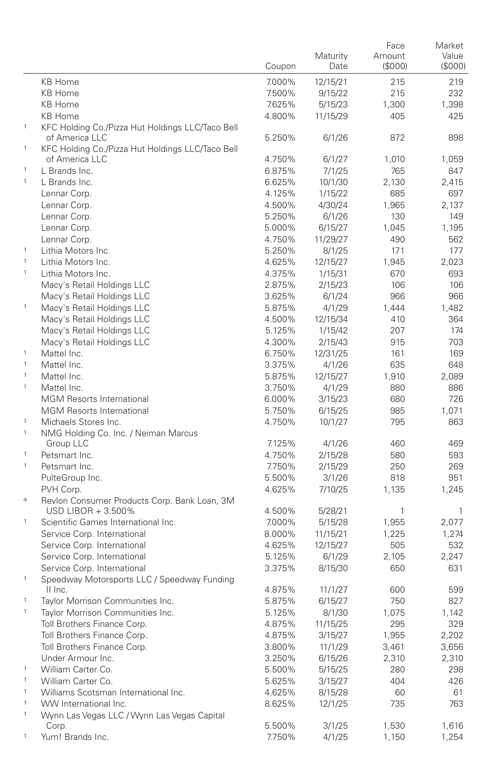|                              |                                                                      | Coupon | Maturity<br>Date | Face<br>Amount<br>(\$000) | Market<br>Value<br>(\$000) |
|------------------------------|----------------------------------------------------------------------|--------|------------------|---------------------------|----------------------------|
|                              | <b>KB Home</b>                                                       | 7.000% | 12/15/21         | 215                       | 219                        |
|                              | <b>KB Home</b>                                                       | 7.500% | 9/15/22          | 215                       | 232                        |
|                              | <b>KB Home</b>                                                       | 7.625% | 5/15/23          | 1,300                     | 1,398                      |
|                              | <b>KB Home</b>                                                       | 4.800% | 11/15/29         | 405                       | 425                        |
| $\mathbf{1}$                 | KFC Holding Co./Pizza Hut Holdings LLC/Taco Bell                     |        |                  |                           |                            |
| $\mathbf{1}$                 | of America LLC<br>KFC Holding Co./Pizza Hut Holdings LLC/Taco Bell   | 5.250% | 6/1/26           | 872                       | 898                        |
|                              | of America LLC                                                       | 4.750% | 6/1/27           | 1,010                     | 1,059                      |
| $\,$ 1 $\,$                  | L Brands Inc.                                                        | 6.875% | 7/1/25           | 765                       | 847                        |
| $\mathbf{1}$                 | L Brands Inc.                                                        | 6.625% | 10/1/30          | 2.130                     | 2,415                      |
|                              | Lennar Corp.                                                         | 4.125% | 1/15/22          | 685                       | 697                        |
|                              | Lennar Corp.                                                         | 4.500% | 4/30/24          | 1,965                     | 2,137                      |
|                              | Lennar Corp.                                                         | 5.250% | 6/1/26           | 130                       | 149                        |
|                              | Lennar Corp.                                                         | 5.000% | 6/15/27          | 1,045                     | 1,195                      |
|                              | Lennar Corp.                                                         | 4.750% | 11/29/27         | 490                       | 562                        |
| $\mathbf{1}$                 | Lithia Motors Inc.                                                   | 5.250% | 8/1/25           | 171                       | 177                        |
| $\mathbf{1}$                 | Lithia Motors Inc.                                                   | 4.625% | 12/15/27         | 1,945                     | 2,023                      |
| $\mathbf{1}$                 | Lithia Motors Inc.                                                   | 4.375% | 1/15/31          | 670                       | 693                        |
|                              | Macy's Retail Holdings LLC                                           | 2.875% | 2/15/23          | 106                       | 106                        |
|                              | Macy's Retail Holdings LLC                                           | 3.625% | 6/1/24           | 966                       | 966                        |
| $\mathbf{1}$                 | Macy's Retail Holdings LLC                                           | 5.875% | 4/1/29           | 1,444                     | 1,482                      |
|                              | Macy's Retail Holdings LLC                                           | 4.500% | 12/15/34         | 410                       | 364                        |
|                              | Macy's Retail Holdings LLC                                           | 5.125% | 1/15/42          | 207                       | 174                        |
|                              | Macy's Retail Holdings LLC                                           | 4.300% | 2/15/43          | 915                       | 703                        |
| $\mathbf{1}$                 | Mattel Inc.                                                          | 6.750% | 12/31/25         | 161                       | 169                        |
| $\mathbf{1}$                 | Mattel Inc.                                                          | 3.375% | 4/1/26           | 635                       | 648                        |
| $\mathbf{1}$                 | Mattel Inc.                                                          | 5.875% | 12/15/27         | 1,910                     | 2,089                      |
| $\mathbf{1}$                 | Mattel Inc.                                                          | 3.750% | 4/1/29           | 880                       | 886                        |
|                              | <b>MGM Resorts International</b>                                     | 6.000% | 3/15/23          | 680                       | 726                        |
|                              | <b>MGM Resorts International</b>                                     | 5.750% | 6/15/25          | 985                       | 1,071                      |
| $\mathbf{1}$                 | Michaels Stores Inc.                                                 | 4.750% | 10/1/27          | 795                       | 863                        |
| $\mathbf{1}$                 | NMG Holding Co. Inc. / Neiman Marcus                                 |        |                  |                           |                            |
|                              | Group LLC                                                            | 7.125% | 4/1/26           | 460                       | 469                        |
| $\mathbf{1}$                 | Petsmart Inc.                                                        | 4.750% | 2/15/28          | 580                       | 593                        |
| 1                            | Petsmart Inc.                                                        | 7.750% | 2/15/29          | 250                       | 269                        |
|                              | PulteGroup Inc.                                                      | 5.500% | 3/1/26           | 818                       | 951                        |
| $\overline{4}$               | PVH Corp.<br>Revlon Consumer Products Corp. Bank Loan, 3M            | 4.625% | 7/10/25          | 1,135                     | 1,245                      |
|                              | USD LIBOR + 3.500%                                                   | 4.500% | 5/28/21          | 1                         | 1                          |
| $\,$ 1 $\,$                  | Scientific Games International Inc.                                  | 7.000% | 5/15/28          | 1,955                     | 2,077                      |
|                              | Service Corp. International                                          | 8.000% | 11/15/21         | 1,225                     | 1,274                      |
|                              | Service Corp. International                                          | 4.625% | 12/15/27         | 505                       | 532                        |
|                              | Service Corp. International                                          | 5.125% | 6/1/29           | 2,105                     | 2,247                      |
|                              | Service Corp. International                                          | 3.375% | 8/15/30          | 650                       | 631                        |
| $\mathbf{1}$                 | Speedway Motorsports LLC / Speedway Funding                          |        |                  |                           |                            |
|                              | II Inc.                                                              | 4.875% | 11/1/27          | 600                       | 599                        |
| $\mathbf{1}$                 | Taylor Morrison Communities Inc.                                     | 5.875% | 6/15/27          | 750                       | 827                        |
|                              | Taylor Morrison Communities Inc.                                     | 5.125% | 8/1/30           | 1,075                     | 1,142                      |
|                              | Toll Brothers Finance Corp.                                          | 4.875% | 11/15/25         | 295                       | 329                        |
|                              | Toll Brothers Finance Corp.                                          | 4.875% | 3/15/27          | 1,955                     | 2,202                      |
|                              | Toll Brothers Finance Corp.                                          | 3.800% | 11/1/29          | 3,461                     | 3,656                      |
|                              | Under Armour Inc.                                                    | 3.250% | 6/15/26          | 2,310                     | 2,310                      |
| $\mathbf{1}$                 | William Carter Co.                                                   | 5.500% | 5/15/25          | 280                       | 298                        |
| $\mathbf{1}$                 | William Carter Co.                                                   | 5.625% | 3/15/27          | 404                       | 426                        |
| $\mathbf{1}$                 | Williams Scotsman International Inc.                                 | 4.625% | 8/15/28          | 60                        | 61                         |
| $\mathbf{1}$<br>$\mathbf{1}$ | WW International Inc.<br>Wynn Las Vegas LLC / Wynn Las Vegas Capital | 8.625% | 12/1/25          | 735                       | 763                        |
|                              | Corp.                                                                | 5.500% | 3/1/25           | 1,530                     | 1,616                      |
| $\mathbf 1$                  | Yum! Brands Inc.                                                     | 7.750% | 4/1/25           | 1,150                     | 1,254                      |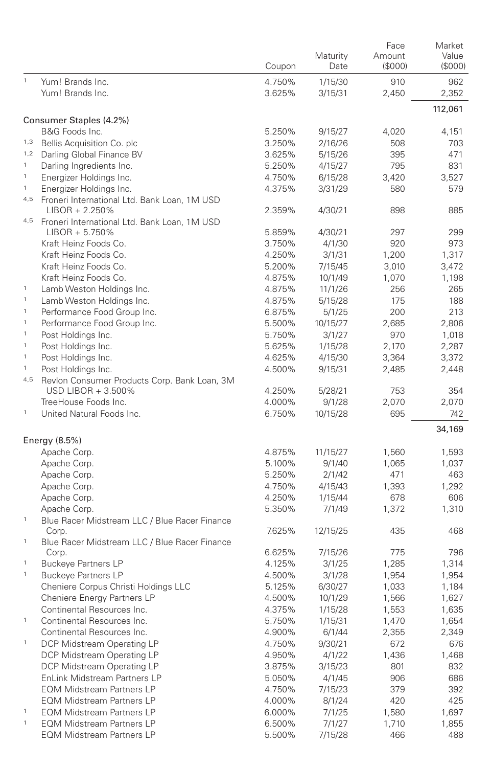|                           |                                                                             | Coupon | Maturity<br>Date | Face<br>Amount<br>(\$000) | Market<br>Value<br>(\$000) |
|---------------------------|-----------------------------------------------------------------------------|--------|------------------|---------------------------|----------------------------|
| $\mathbf{1}$              | Yum! Brands Inc.                                                            | 4.750% | 1/15/30          | 910                       | 962                        |
|                           | Yum! Brands Inc.                                                            | 3.625% | 3/15/31          | 2,450                     | 2,352                      |
|                           |                                                                             |        |                  |                           | 112,061                    |
|                           | Consumer Staples (4.2%)                                                     |        |                  |                           |                            |
| 1,3                       | B&G Foods Inc.                                                              | 5.250% | 9/15/27          | 4,020                     | 4,151                      |
| 1,2                       | Bellis Acquisition Co. plc                                                  | 3.250% | 2/16/26          | 508                       | 703                        |
| $\mathbf{1}$              | Darling Global Finance BV                                                   | 3.625% | 5/15/26          | 395                       | 471                        |
| $\mathbf{1}$              | Darling Ingredients Inc.                                                    | 5.250% | 4/15/27          | 795                       | 831                        |
| $\mathbf{1}$              | Energizer Holdings Inc.                                                     | 4.750% | 6/15/28          | 3,420                     | 3,527                      |
|                           | Energizer Holdings Inc.<br>4,5 Froneri International Ltd. Bank Loan, 1M USD | 4.375% | 3/31/29          | 580                       | 579                        |
|                           | LIBOR + 2.250%                                                              | 2.359% | 4/30/21          | 898                       | 885                        |
|                           | 4,5 Froneri International Ltd. Bank Loan, 1M USD<br>$LIBOR + 5.750\%$       | 5.859% | 4/30/21          | 297                       | 299                        |
|                           | Kraft Heinz Foods Co.                                                       | 3.750% | 4/1/30           | 920                       | 973                        |
|                           | Kraft Heinz Foods Co.                                                       | 4.250% | 3/1/31           | 1,200                     | 1,317                      |
|                           | Kraft Heinz Foods Co.                                                       | 5.200% | 7/15/45          | 3,010                     | 3,472                      |
|                           | Kraft Heinz Foods Co.                                                       | 4.875% | 10/1/49          | 1,070                     | 1,198                      |
| $\,$ 1                    | Lamb Weston Holdings Inc.                                                   | 4.875% | 11/1/26          | 256                       | 265                        |
| $\mathbf 1$               | Lamb Weston Holdings Inc.                                                   | 4.875% | 5/15/28          | 175                       | 188                        |
| $\mathbf 1$               | Performance Food Group Inc.                                                 | 6.875% | 5/1/25           | 200                       | 213                        |
| $\mathbf 1$               | Performance Food Group Inc.                                                 | 5.500% | 10/15/27         | 2,685                     | 2,806                      |
| $\,$ 1                    | Post Holdings Inc.                                                          | 5.750% | 3/1/27           | 970                       | 1,018                      |
| $\mathbf 1$               | Post Holdings Inc.                                                          | 5.625% | 1/15/28          | 2,170                     | 2,287                      |
| $\mathbf 1$               | Post Holdings Inc.                                                          | 4.625% | 4/15/30          | 3,364                     | 3,372                      |
| $\,$ 1 $\,$               | Post Holdings Inc.                                                          | 4.500% | 9/15/31          | 2,485                     | 2,448                      |
|                           | 4,5 Revlon Consumer Products Corp. Bank Loan, 3M                            |        |                  |                           |                            |
|                           | USD LIBOR + 3.500%                                                          | 4.250% | 5/28/21          | 753                       | 354                        |
|                           | TreeHouse Foods Inc.                                                        | 4.000% | 9/1/28           | 2,070                     | 2,070                      |
| $\mathbf{1}$              | United Natural Foods Inc.                                                   | 6.750% | 10/15/28         | 695                       | 742                        |
|                           | Energy (8.5%)                                                               |        |                  |                           | 34,169                     |
|                           | Apache Corp.                                                                | 4.875% | 11/15/27         | 1,560                     | 1,593                      |
|                           | Apache Corp.                                                                | 5.100% | 9/1/40           | 1,065                     | 1,037                      |
|                           | Apache Corp.                                                                | 5.250% | 2/1/42           | 471                       | 463                        |
|                           | Apache Corp.                                                                | 4.750% | 4/15/43          | 1,393                     | 1,292                      |
|                           | Apache Corp.                                                                | 4.250% | 1/15/44          | 678                       | 606                        |
|                           | Apache Corp.                                                                | 5.350% | 7/1/49           | 1,372                     | 1,310                      |
| $\mathbf{1}$              | Blue Racer Midstream LLC / Blue Racer Finance                               |        |                  |                           |                            |
| $\,$ 1 $\,$               | Corp.<br>Blue Racer Midstream LLC / Blue Racer Finance                      | 7.625% | 12/15/25         | 435                       | 468                        |
|                           | Corp.                                                                       | 6.625% | 7/15/26          | 775                       | 796                        |
| $\mathbf{1}$              | <b>Buckeye Partners LP</b>                                                  | 4.125% | 3/1/25           | 1,285                     | 1,314                      |
| $\mathbf 1$               | <b>Buckeye Partners LP</b>                                                  | 4.500% | 3/1/28           | 1,954                     | 1,954                      |
|                           | Cheniere Corpus Christi Holdings LLC                                        | 5.125% | 6/30/27          | 1,033                     | 1,184                      |
|                           | Cheniere Energy Partners LP                                                 | 4.500% | 10/1/29          | 1,566                     | 1,627                      |
|                           | Continental Resources Inc.                                                  | 4.375% | 1/15/28          | 1,553                     | 1,635                      |
| $\ensuremath{\mathsf{1}}$ | Continental Resources Inc.                                                  | 5.750% | 1/15/31          | 1,470                     | 1,654                      |
|                           | Continental Resources Inc.                                                  | 4.900% | 6/1/44           | 2,355                     | 2,349                      |
| $\,$ 1 $\,$               | DCP Midstream Operating LP                                                  | 4.750% | 9/30/21          | 672                       | 676                        |
|                           | DCP Midstream Operating LP                                                  | 4.950% | 4/1/22           | 1,436                     | 1,468                      |
|                           | DCP Midstream Operating LP                                                  | 3.875% | 3/15/23          | 801                       | 832                        |
|                           | EnLink Midstream Partners LP                                                | 5.050% | 4/1/45           | 906                       | 686                        |
|                           | <b>EQM Midstream Partners LP</b>                                            | 4.750% | 7/15/23          | 379                       | 392                        |
|                           | <b>EQM Midstream Partners LP</b>                                            | 4.000% | 8/1/24           | 420                       | 425                        |
| $\mathbf{1}$              | <b>EQM Midstream Partners LP</b>                                            | 6.000% | 7/1/25           | 1,580                     | 1,697                      |
| $\ensuremath{\mathsf{1}}$ | <b>EQM Midstream Partners LP</b>                                            | 6.500% | 7/1/27           | 1,710                     | 1,855                      |
|                           | <b>EQM Midstream Partners LP</b>                                            | 5.500% | 7/15/28          | 466                       | 488                        |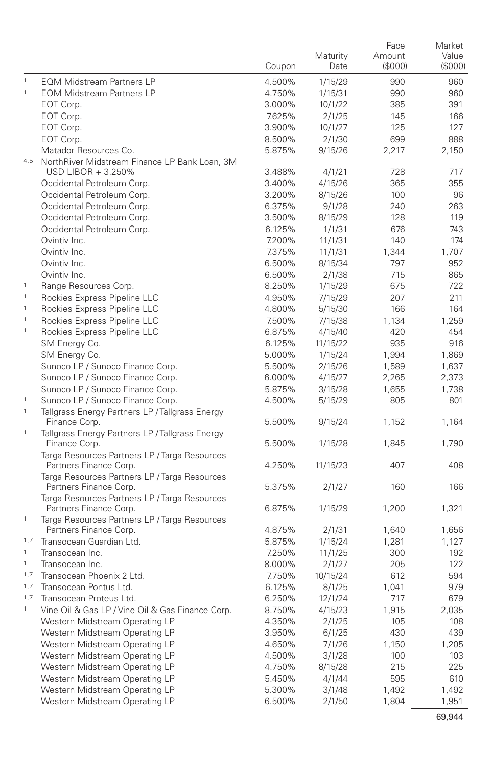|                        |                                                                                     | Coupon | Maturity<br>Date | Face<br>Amount<br>(\$000) | Market<br>Value<br>(\$000) |
|------------------------|-------------------------------------------------------------------------------------|--------|------------------|---------------------------|----------------------------|
| $\mathbf{1}$           | <b>EQM Midstream Partners LP</b>                                                    | 4.500% | 1/15/29          | 990                       | 960                        |
| $\mathbf{1}$           | <b>EQM Midstream Partners LP</b>                                                    | 4.750% | 1/15/31          | 990                       | 960                        |
|                        | EQT Corp.                                                                           | 3.000% | 10/1/22          | 385                       | 391                        |
|                        | EQT Corp.                                                                           | 7.625% | 2/1/25           | 145                       | 166                        |
|                        | EQT Corp.                                                                           | 3.900% | 10/1/27          | 125                       | 127                        |
|                        | EQT Corp.                                                                           | 8.500% | 2/1/30           | 699                       | 888                        |
|                        | Matador Resources Co.                                                               | 5.875% | 9/15/26          | 2,217                     | 2,150                      |
| 4,5                    | NorthRiver Midstream Finance LP Bank Loan, 3M                                       |        |                  |                           |                            |
|                        | USD LIBOR + 3.250%                                                                  | 3.488% | 4/1/21           | 728                       | 717                        |
|                        | Occidental Petroleum Corp.                                                          | 3.400% | 4/15/26          | 365                       | 355                        |
|                        | Occidental Petroleum Corp.                                                          | 3.200% | 8/15/26          | 100                       | 96                         |
|                        | Occidental Petroleum Corp.                                                          | 6.375% | 9/1/28           | 240                       | 263                        |
|                        | Occidental Petroleum Corp.                                                          | 3.500% | 8/15/29          | 128                       | 119                        |
|                        | Occidental Petroleum Corp.                                                          | 6.125% | 1/1/31           | 676                       | 743                        |
|                        | Ovintiv Inc.                                                                        | 7.200% | 11/1/31          | 140                       | 174                        |
|                        | Ovintiv Inc.                                                                        | 7.375% | 11/1/31          | 1,344                     | 1,707                      |
|                        | Ovintiv Inc.                                                                        | 6.500% | 8/15/34          | 797                       | 952                        |
|                        | Ovintiv Inc.                                                                        | 6.500% | 2/1/38           | 715                       | 865                        |
| $\,$ 1                 | Range Resources Corp.                                                               | 8.250% | 1/15/29          | 675                       | 722                        |
| $\,$ 1                 | Rockies Express Pipeline LLC                                                        | 4.950% | 7/15/29          | 207                       | 211                        |
| $\,$ 1                 | Rockies Express Pipeline LLC                                                        | 4.800% | 5/15/30          | 166                       | 164                        |
| $\mathbf{1}$           | Rockies Express Pipeline LLC                                                        | 7.500% | 7/15/38          | 1,134                     | 1,259                      |
| $\mathbf{1}$           | Rockies Express Pipeline LLC                                                        | 6.875% | 4/15/40          | 420                       | 454                        |
|                        | SM Energy Co.                                                                       | 6.125% | 11/15/22         | 935                       | 916                        |
|                        | SM Energy Co.                                                                       | 5.000% | 1/15/24          | 1,994                     | 1,869                      |
|                        | Sunoco LP / Sunoco Finance Corp.                                                    | 5.500% | 2/15/26          | 1,589                     | 1,637                      |
|                        | Sunoco LP / Sunoco Finance Corp.                                                    | 6.000% | 4/15/27          | 2,265                     | 2,373                      |
|                        | Sunoco LP / Sunoco Finance Corp.                                                    | 5.875% | 3/15/28          | 1,655                     | 1,738                      |
| $\,$ 1<br>$\mathbf{1}$ | Sunoco LP / Sunoco Finance Corp.<br>Tallgrass Energy Partners LP / Tallgrass Energy | 4.500% | 5/15/29          | 805                       | 801                        |
| $\mathbf{1}$           | Finance Corp.<br>Tallgrass Energy Partners LP / Tallgrass Energy                    | 5.500% | 9/15/24          | 1,152                     | 1,164                      |
|                        | Finance Corp.                                                                       | 5.500% | 1/15/28          | 1,845                     | 1,790                      |
|                        | Targa Resources Partners LP / Targa Resources                                       |        |                  |                           |                            |
|                        | Partners Finance Corp.<br>Targa Resources Partners LP / Targa Resources             | 4.250% | 11/15/23         | 407                       | 408                        |
|                        | Partners Finance Corp.                                                              | 5.375% | 2/1/27           | 160                       | 166                        |
|                        | Targa Resources Partners LP / Targa Resources                                       |        |                  |                           |                            |
| $\,$ 1                 | Partners Finance Corp.<br>Targa Resources Partners LP / Targa Resources             | 6.875% | 1/15/29          | 1,200                     | 1,321                      |
|                        | Partners Finance Corp.                                                              | 4.875% | 2/1/31           | 1,640                     | 1,656                      |
| 1,7                    | Transocean Guardian Ltd.                                                            | 5.875% | 1/15/24          | 1,281                     | 1,127                      |
| $\mathbf{1}$           | Transocean Inc.                                                                     | 7.250% | 11/1/25          | 300                       | 192                        |
| $\,$ 1 $\,$            | Transocean Inc.                                                                     | 8.000% | 2/1/27           | 205                       | 122                        |
| 1,7                    | Transocean Phoenix 2 Ltd.                                                           | 7.750% | 10/15/24         | 612                       | 594                        |
| 1,7                    | Transocean Pontus Ltd.                                                              | 6.125% | 8/1/25           | 1,041                     | 979                        |
| 1,7                    | Transocean Proteus Ltd.                                                             | 6.250% | 12/1/24          | 717                       | 679                        |
|                        | Vine Oil & Gas LP / Vine Oil & Gas Finance Corp.                                    | 8.750% | 4/15/23          | 1,915                     | 2,035                      |
|                        | Western Midstream Operating LP                                                      | 4.350% | 2/1/25           | 105                       | 108                        |
|                        | Western Midstream Operating LP                                                      | 3.950% | 6/1/25           | 430                       | 439                        |
|                        | Western Midstream Operating LP                                                      | 4.650% | 7/1/26           | 1,150                     | 1,205                      |
|                        | Western Midstream Operating LP                                                      | 4.500% | 3/1/28           | 100                       | 103                        |
|                        | Western Midstream Operating LP                                                      | 4.750% | 8/15/28          | 215                       | 225                        |
|                        | Western Midstream Operating LP                                                      | 5.450% | 4/1/44           | 595                       | 610                        |
|                        | Western Midstream Operating LP                                                      | 5.300% | 3/1/48           | 1,492                     | 1,492                      |
|                        | Western Midstream Operating LP                                                      | 6.500% | 2/1/50           | 1,804                     | 1,951                      |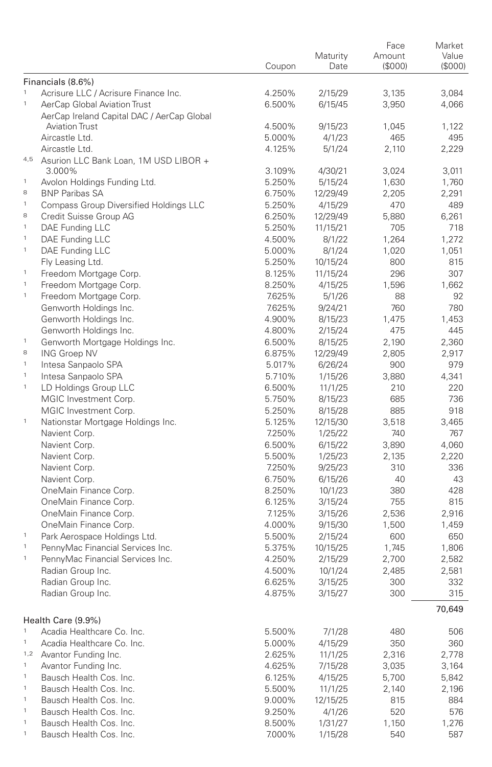|              |                                            |        |          | Face    | Market  |
|--------------|--------------------------------------------|--------|----------|---------|---------|
|              |                                            |        | Maturity | Amount  | Value   |
|              |                                            | Coupon | Date     | (\$000) | (\$000) |
|              | Financials (8.6%)                          |        |          |         |         |
| $\mathbf{1}$ | Acrisure LLC / Acrisure Finance Inc.       | 4.250% | 2/15/29  | 3,135   | 3,084   |
| $\mathbf{1}$ | AerCap Global Aviation Trust               | 6.500% | 6/15/45  | 3,950   | 4,066   |
|              | AerCap Ireland Capital DAC / AerCap Global |        |          |         |         |
|              | <b>Aviation Trust</b>                      | 4.500% | 9/15/23  | 1,045   | 1,122   |
|              | Aircastle Ltd.                             | 5.000% | 4/1/23   | 465     | 495     |
|              | Aircastle Ltd.                             | 4.125% | 5/1/24   | 2,110   | 2,229   |
|              | 4,5 Asurion LLC Bank Loan, 1M USD LIBOR +  |        |          |         |         |
|              | 3.000%                                     | 3.109% | 4/30/21  | 3,024   | 3.011   |
| $\mathbf{1}$ | Avolon Holdings Funding Ltd.               | 5.250% | 5/15/24  | 1,630   | 1,760   |
| 8            | <b>BNP Paribas SA</b>                      | 6.750% | 12/29/49 | 2,205   | 2.291   |
| $\mathbf{1}$ | Compass Group Diversified Holdings LLC     | 5.250% | 4/15/29  | 470     | 489     |
| 8            | Credit Suisse Group AG                     | 6.250% | 12/29/49 | 5.880   | 6,261   |
| $\mathbf{1}$ | DAE Funding LLC                            | 5.250% | 11/15/21 | 705     | 718     |
| $\mathbf{1}$ | DAE Funding LLC                            | 4.500% | 8/1/22   | 1,264   | 1,272   |
| $\mathbf{1}$ | DAE Funding LLC                            | 5.000% | 8/1/24   | 1,020   | 1,051   |
|              |                                            |        |          |         |         |
| $\mathbf{1}$ | Fly Leasing Ltd.                           | 5.250% | 10/15/24 | 800     | 815     |
|              | Freedom Mortgage Corp.                     | 8.125% | 11/15/24 | 296     | 307     |
| $\mathbf{1}$ | Freedom Mortgage Corp.                     | 8.250% | 4/15/25  | 1,596   | 1,662   |
| $\mathbf{1}$ | Freedom Mortgage Corp.                     | 7.625% | 5/1/26   | 88      | 92      |
|              | Genworth Holdings Inc.                     | 7.625% | 9/24/21  | 760     | 780     |
|              | Genworth Holdings Inc.                     | 4.900% | 8/15/23  | 1,475   | 1,453   |
|              | Genworth Holdings Inc.                     | 4.800% | 2/15/24  | 475     | 445     |
| $\mathbf{1}$ | Genworth Mortgage Holdings Inc.            | 6.500% | 8/15/25  | 2,190   | 2,360   |
| 8            | <b>ING Groep NV</b>                        | 6.875% | 12/29/49 | 2,805   | 2,917   |
| $\mathbf{1}$ | Intesa Sanpaolo SPA                        | 5.017% | 6/26/24  | 900     | 979     |
| $\mathbf{1}$ | Intesa Sanpaolo SPA                        | 5.710% | 1/15/26  | 3,880   | 4,341   |
| $\mathbf{1}$ | LD Holdings Group LLC                      | 6.500% | 11/1/25  | 210     | 220     |
|              | MGIC Investment Corp.                      | 5.750% | 8/15/23  | 685     | 736     |
|              | MGIC Investment Corp.                      | 5.250% | 8/15/28  | 885     | 918     |
| $\mathbf{1}$ | Nationstar Mortgage Holdings Inc.          | 5.125% | 12/15/30 | 3,518   | 3,465   |
|              | Navient Corp.                              | 7.250% | 1/25/22  | 740     | 767     |
|              | Navient Corp.                              | 6.500% | 6/15/22  | 3,890   | 4,060   |
|              | Navient Corp.                              | 5.500% | 1/25/23  | 2,135   | 2,220   |
|              | Navient Corp.                              | 7.250% | 9/25/23  | 310     | 336     |
|              | Navient Corp.                              | 6.750% | 6/15/26  | 40      | 43      |
|              | OneMain Finance Corp.                      | 8.250% | 10/1/23  | 380     | 428     |
|              | OneMain Finance Corp.                      | 6.125% | 3/15/24  | 755     | 815     |
|              | OneMain Finance Corp.                      | 7.125% | 3/15/26  | 2,536   | 2,916   |
|              | OneMain Finance Corp.                      | 4.000% | 9/15/30  | 1,500   | 1,459   |
| $\mathbf{1}$ | Park Aerospace Holdings Ltd.               | 5.500% | 2/15/24  | 600     | 650     |
| $\mathbf{1}$ | PennyMac Financial Services Inc.           | 5.375% | 10/15/25 | 1,745   | 1,806   |
| $\mathbf{1}$ | PennyMac Financial Services Inc.           | 4.250% | 2/15/29  | 2,700   | 2,582   |
|              | Radian Group Inc.                          | 4.500% | 10/1/24  | 2,485   | 2,581   |
|              | Radian Group Inc.                          | 6.625% | 3/15/25  | 300     | 332     |
|              | Radian Group Inc.                          | 4.875% | 3/15/27  | 300     | 315     |
|              |                                            |        |          |         |         |
|              |                                            |        |          |         | 70,649  |
|              | Health Care (9.9%)                         |        |          |         |         |
| $\mathbf{1}$ | Acadia Healthcare Co. Inc.                 | 5.500% | 7/1/28   | 480     | 506     |
| $\mathbf{1}$ | Acadia Healthcare Co. Inc.                 | 5.000% | 4/15/29  | 350     | 360     |
| 1,2          | Avantor Funding Inc.                       | 2.625% | 11/1/25  | 2,316   | 2,778   |
| $\mathbf{1}$ | Avantor Funding Inc.                       | 4.625% | 7/15/28  | 3,035   | 3,164   |
| $\mathbf{1}$ | Bausch Health Cos. Inc.                    | 6.125% | 4/15/25  | 5,700   | 5,842   |
| $\mathbf{1}$ | Bausch Health Cos. Inc.                    | 5.500% | 11/1/25  | 2,140   | 2,196   |
| $\mathbf{1}$ | Bausch Health Cos. Inc.                    | 9.000% | 12/15/25 | 815     | 884     |
| $\mathbf{1}$ | Bausch Health Cos. Inc.                    | 9.250% | 4/1/26   | 520     | 576     |
| $\mathbf{1}$ | Bausch Health Cos. Inc.                    | 8.500% | 1/31/27  | 1,150   | 1,276   |
| $\mathbf{1}$ | Bausch Health Cos. Inc.                    | 7.000% | 1/15/28  | 540     | 587     |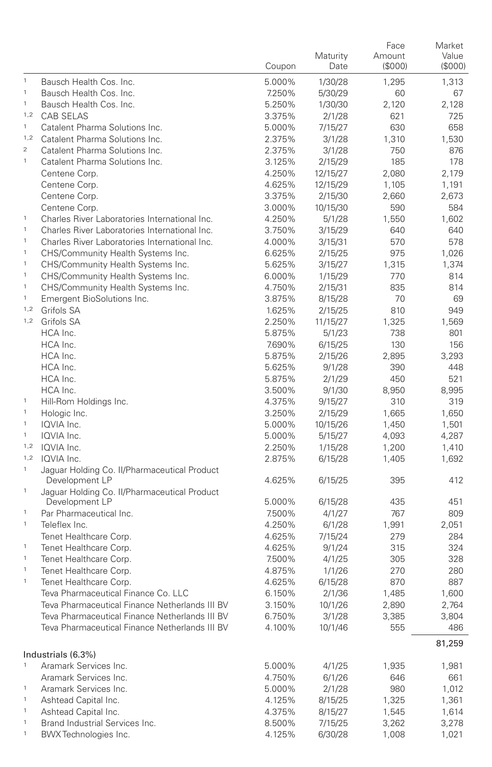|                |                                                                                                  | Coupon           | Maturity<br>Date  | Face<br>Amount<br>(\$000) | Market<br>Value<br>(\$000) |
|----------------|--------------------------------------------------------------------------------------------------|------------------|-------------------|---------------------------|----------------------------|
| $\,$ 1         | Bausch Health Cos. Inc.                                                                          | 5.000%           | 1/30/28           | 1,295                     | 1,313                      |
| $\mathbf{1}$   | Bausch Health Cos. Inc.                                                                          | 7.250%           | 5/30/29           | 60                        | 67                         |
| $\mathbf{1}$   | Bausch Health Cos. Inc.                                                                          | 5.250%           | 1/30/30           | 2,120                     | 2,128                      |
| 1,2            | <b>CAB SELAS</b>                                                                                 | 3.375%           | 2/1/28            | 621                       | 725                        |
| $\mathbf{1}$   | Catalent Pharma Solutions Inc.                                                                   | 5.000%           | 7/15/27           | 630                       | 658                        |
| 1,2            | Catalent Pharma Solutions Inc.                                                                   | 2.375%           | 3/1/28            | 1,310                     | 1,530                      |
| $\overline{2}$ | Catalent Pharma Solutions Inc.                                                                   | 2.375%           | 3/1/28            | 750                       | 876                        |
| $\mathbf{1}$   | Catalent Pharma Solutions Inc.                                                                   | 3.125%           | 2/15/29           | 185                       | 178                        |
|                | Centene Corp.                                                                                    | 4.250%           | 12/15/27          | 2,080                     | 2,179                      |
|                | Centene Corp.                                                                                    | 4.625%           | 12/15/29          | 1,105                     | 1,191                      |
|                | Centene Corp.                                                                                    | 3.375%           | 2/15/30           | 2,660                     | 2,673                      |
|                | Centene Corp.                                                                                    | 3.000%           | 10/15/30          | 590                       | 584                        |
| $\mathbf{1}$   | Charles River Laboratories International Inc.                                                    | 4.250%           | 5/1/28            | 1,550                     | 1,602                      |
| $\mathbf{1}$   | Charles River Laboratories International Inc.                                                    | 3.750%           | 3/15/29           | 640                       | 640                        |
| $\mathbf{1}$   | Charles River Laboratories International Inc.                                                    | 4.000%           | 3/15/31           | 570                       | 578                        |
| $\mathbf{1}$   | CHS/Community Health Systems Inc.                                                                | 6.625%           | 2/15/25           | 975                       | 1,026                      |
| $\mathbf{1}$   | CHS/Community Health Systems Inc.                                                                | 5.625%           | 3/15/27           | 1,315                     | 1,374                      |
| $\mathbf{1}$   | CHS/Community Health Systems Inc.                                                                | 6.000%           | 1/15/29           | 770                       | 814                        |
| $\mathbf{1}$   | CHS/Community Health Systems Inc.                                                                | 4.750%           | 2/15/31           | 835                       | 814                        |
| $\mathbf{1}$   | Emergent BioSolutions Inc.                                                                       | 3.875%           | 8/15/28           | 70                        | 69                         |
| 1,2            | Grifols SA                                                                                       | 1.625%           | 2/15/25           | 810                       | 949                        |
|                | 1,2 Grifols SA                                                                                   | 2.250%           | 11/15/27          | 1,325                     | 1,569                      |
|                | HCA Inc.                                                                                         | 5.875%           | 5/1/23            | 738                       | 801                        |
|                | HCA Inc.                                                                                         | 7.690%           | 6/15/25           | 130                       | 156                        |
|                | HCA Inc.                                                                                         | 5.875%           | 2/15/26           | 2,895                     | 3,293                      |
|                | HCA Inc.                                                                                         | 5.625%           | 9/1/28            | 390                       | 448                        |
|                | HCA Inc.                                                                                         | 5.875%           | 2/1/29            | 450                       | 521                        |
|                | HCA Inc.                                                                                         | 3.500%           | 9/1/30            | 8,950                     | 8,995                      |
| $\mathbf{1}$   | Hill-Rom Holdings Inc.                                                                           | 4.375%           | 9/15/27           | 310                       | 319                        |
| $\,$ 1         | Hologic Inc.                                                                                     | 3.250%           | 2/15/29           | 1,665                     | 1,650                      |
| $\mathbf{1}$   | IQVIA Inc.                                                                                       | 5.000%           | 10/15/26          | 1,450                     | 1,501                      |
| $\mathbf{1}$   | IQVIA Inc.                                                                                       | 5.000%           | 5/15/27           | 4,093                     | 4,287                      |
|                | 1,2 IQVIA Inc.                                                                                   | 2.250%           | 1/15/28           | 1,200                     | 1,410                      |
| 1,2            | IQVIA Inc.                                                                                       | 2.875%           | 6/15/28           | 1,405                     | 1,692                      |
| $\mathbf 1$    | Jaguar Holding Co. II/Pharmaceutical Product<br>Development LP                                   | 4.625%           | 6/15/25           | 395                       | 412                        |
| $\mathbf 1$    | Jaguar Holding Co. II/Pharmaceutical Product                                                     |                  |                   |                           |                            |
| $\mathbf{1}$   | Development LP                                                                                   | 5.000%           | 6/15/28           | 435                       | 451                        |
| $\mathbf{1}$   | Par Pharmaceutical Inc.                                                                          | 7.500%           | 4/1/27            | 767                       | 809                        |
|                | Teleflex Inc.                                                                                    | 4.250%           | 6/1/28            | 1,991                     | 2,051                      |
| $\mathbf{1}$   | Tenet Healthcare Corp.<br>Tenet Healthcare Corp.                                                 | 4.625%           | 7/15/24           | 279                       | 284                        |
| $\mathbf{1}$   | Tenet Healthcare Corp.                                                                           | 4.625%           | 9/1/24            | 315                       | 324                        |
| $\mathbf{1}$   |                                                                                                  | 7.500%           | 4/1/25            | 305                       | 328                        |
| $\mathbf{1}$   | Tenet Healthcare Corp.<br>Tenet Healthcare Corp.                                                 | 4.875%           | 1/1/26            | 270                       | 280                        |
|                | Teva Pharmaceutical Finance Co. LLC                                                              | 4.625%<br>6.150% | 6/15/28<br>2/1/36 | 870                       | 887                        |
|                |                                                                                                  |                  |                   | 1,485                     | 1,600                      |
|                | Teva Pharmaceutical Finance Netherlands III BV<br>Teva Pharmaceutical Finance Netherlands III BV | 3.150%           | 10/1/26           | 2,890<br>3,385            | 2,764                      |
|                |                                                                                                  | 6.750%           | 3/1/28            |                           | 3,804                      |
|                | Teva Pharmaceutical Finance Netherlands III BV                                                   | 4.100%           | 10/1/46           | 555                       | 486                        |
|                | Industrials (6.3%)                                                                               |                  |                   |                           | 81,259                     |
| $\mathbf{1}$   | Aramark Services Inc.                                                                            | 5.000%           | 4/1/25            | 1,935                     | 1,981                      |
|                | Aramark Services Inc.                                                                            | 4.750%           | 6/1/26            | 646                       | 661                        |
| $\mathbf{1}$   | Aramark Services Inc.                                                                            | 5.000%           | 2/1/28            | 980                       | 1,012                      |
| $\mathbf 1$    | Ashtead Capital Inc.                                                                             | 4.125%           | 8/15/25           | 1,325                     | 1,361                      |
| $\mathbf{1}$   | Ashtead Capital Inc.                                                                             | 4.375%           | 8/15/27           | 1,545                     | 1,614                      |
| $\mathbf{1}$   | Brand Industrial Services Inc.                                                                   | 8.500%           | 7/15/25           | 3,262                     | 3,278                      |
| $\mathbf{1}$   | BWX Technologies Inc.                                                                            | 4.125%           | 6/30/28           | 1,008                     | 1,021                      |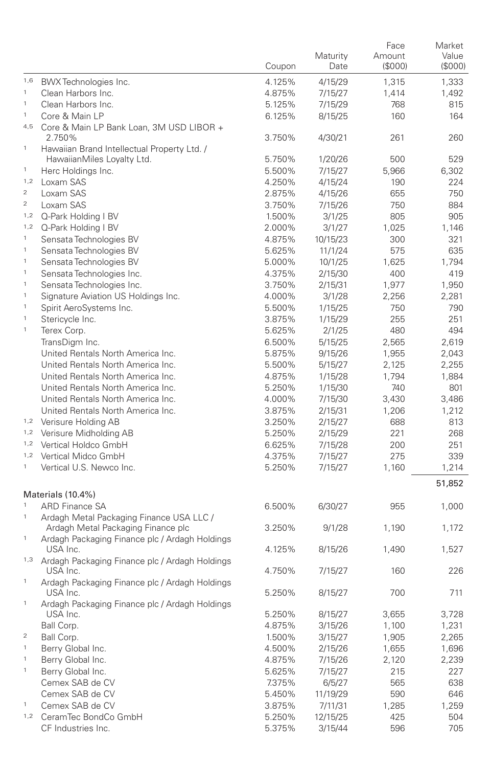|                |                                                            | Coupon | Maturity<br>Date | Face<br>Amount<br>(S000) | Market<br>Value<br>(SOOO) |
|----------------|------------------------------------------------------------|--------|------------------|--------------------------|---------------------------|
| 1,6            | BWX Technologies Inc.                                      | 4.125% | 4/15/29          | 1,315                    | 1,333                     |
| $\mathbf 1$    | Clean Harbors Inc.                                         | 4.875% | 7/15/27          | 1,414                    | 1,492                     |
| $\mathbf{1}$   | Clean Harbors Inc.                                         | 5.125% | 7/15/29          | 768                      | 815                       |
| $\mathbf{1}$   | Core & Main LP                                             | 6.125% | 8/15/25          | 160                      | 164                       |
|                | 4,5 Core & Main LP Bank Loan, 3M USD LIBOR +               |        |                  |                          |                           |
|                | 2.750%                                                     | 3.750% | 4/30/21          | 261                      | 260                       |
| $\mathbf{1}$   | Hawaiian Brand Intellectual Property Ltd. /                |        |                  |                          |                           |
|                | HawaiianMiles Loyalty Ltd.                                 | 5.750% | 1/20/26          | 500                      | 529                       |
| $\mathbf{1}$   | Herc Holdings Inc.                                         | 5.500% | 7/15/27          | 5,966                    | 6,302                     |
| 1,2            | Loxam SAS                                                  | 4.250% | 4/15/24          | 190                      | 224                       |
| $\sqrt{2}$     | Loxam SAS                                                  | 2.875% | 4/15/26          | 655                      | 750                       |
| $\overline{a}$ | Loxam SAS                                                  | 3.750% | 7/15/26          | 750                      | 884                       |
|                | 1.2 Q-Park Holding I BV                                    | 1.500% | 3/1/25           | 805                      | 905                       |
| 1,2            | Q-Park Holding I BV                                        | 2.000% | 3/1/27           | 1,025                    | 1,146                     |
| $\mathbf{1}$   | Sensata Technologies BV                                    | 4.875% | 10/15/23         | 300                      | 321                       |
| $\mathbf{1}$   | Sensata Technologies BV                                    | 5.625% | 11/1/24          | 575                      | 635                       |
| $\mathbf{1}$   | Sensata Technologies BV                                    | 5.000% | 10/1/25          | 1,625                    | 1,794                     |
| $\mathbf{1}$   | Sensata Technologies Inc.                                  | 4.375% | 2/15/30          | 400                      | 419                       |
| $\mathbf{1}$   | Sensata Technologies Inc.                                  | 3.750% | 2/15/31          | 1,977                    | 1,950                     |
| $\mathbf{1}$   | Signature Aviation US Holdings Inc.                        | 4.000% | 3/1/28           | 2,256                    | 2,281                     |
| $\mathbf{1}$   | Spirit AeroSystems Inc.                                    | 5.500% | 1/15/25          | 750                      | 790                       |
| $\mathbf{1}$   | Stericycle Inc.                                            | 3.875% | 1/15/29          | 255                      | 251                       |
| $\mathbf{1}$   | Terex Corp.                                                | 5.625% | 2/1/25           | 480                      | 494                       |
|                | TransDigm Inc.                                             | 6.500% | 5/15/25          | 2,565                    | 2,619                     |
|                | United Rentals North America Inc.                          | 5.875% | 9/15/26          | 1,955                    | 2,043                     |
|                | United Rentals North America Inc.                          | 5.500% | 5/15/27          | 2,125                    | 2,255                     |
|                | United Rentals North America Inc.                          | 4.875% | 1/15/28          | 1,794                    | 1,884                     |
|                | United Rentals North America Inc.                          | 5.250% | 1/15/30          | 740                      | 801                       |
|                | United Rentals North America Inc.                          | 4.000% | 7/15/30          | 3,430                    | 3,486                     |
|                | United Rentals North America Inc.                          | 3.875% |                  |                          |                           |
|                |                                                            |        | 2/15/31          | 1,206<br>688             | 1,212<br>813              |
|                | 1,2 Verisure Holding AB<br>1.2 Verisure Midholding AB      | 3.250% | 2/15/27          | 221                      | 268                       |
|                | 1,2 Vertical Holdco GmbH                                   | 5.250% | 2/15/29          |                          | 251                       |
|                | 1,2 Vertical Midco GmbH                                    | 6.625% | 7/15/28          | 200                      |                           |
| $\mathbf{1}$   | Vertical U.S. Newco Inc.                                   | 4.375% | 7/15/27          | 275                      | 339                       |
|                |                                                            | 5.250% | 7/15/27          | 1,160                    | 1,214<br>51,852           |
|                | Materials (10.4%)                                          |        |                  |                          |                           |
| $\mathbf{1}$   | <b>ARD Finance SA</b>                                      | 6.500% | 6/30/27          | 955                      | 1,000                     |
| $\mathbf{1}$   | Ardagh Metal Packaging Finance USA LLC /                   |        |                  |                          |                           |
|                | Ardagh Metal Packaging Finance plc                         | 3.250% | 9/1/28           | 1,190                    | 1,172                     |
| $\mathbf{1}$   | Ardagh Packaging Finance plc / Ardagh Holdings<br>USA Inc. | 4.125% | 8/15/26          | 1,490                    | 1,527                     |
|                | 1,3 Ardagh Packaging Finance plc / Ardagh Holdings         |        |                  |                          |                           |
| $\mathbf{1}$   | USA Inc.                                                   | 4.750% | 7/15/27          | 160                      | 226                       |
|                | Ardagh Packaging Finance plc / Ardagh Holdings<br>USA Inc. | 5.250% | 8/15/27          | 700                      | 711                       |
| $\mathbf{1}$   | Ardagh Packaging Finance plc / Ardagh Holdings<br>USA Inc. | 5.250% | 8/15/27          | 3,655                    | 3,728                     |
|                | Ball Corp.                                                 | 4.875% | 3/15/26          | 1,100                    | 1,231                     |
| $\,2$          | Ball Corp.                                                 | 1.500% | 3/15/27          | 1,905                    | 2,265                     |
| $\mathbf{1}$   | Berry Global Inc.                                          | 4.500% | 2/15/26          | 1,655                    | 1,696                     |
| $\mathbf{1}$   | Berry Global Inc.                                          | 4.875% | 7/15/26          | 2,120                    | 2,239                     |
| $\mathbf{1}$   | Berry Global Inc.                                          | 5.625% | 7/15/27          | 215                      | 227                       |
|                | Cemex SAB de CV                                            | 7.375% | 6/5/27           | 565                      | 638                       |
|                | Cemex SAB de CV                                            | 5.450% | 11/19/29         | 590                      | 646                       |
| $\mathbf{1}$   | Cemex SAB de CV                                            | 3.875% | 7/11/31          | 1,285                    | 1,259                     |
| 1,2            | CeramTec BondCo GmbH                                       | 5.250% | 12/15/25         | 425                      | 504                       |
|                | CF Industries Inc.                                         | 5.375% | 3/15/44          | 596                      | 705                       |
|                |                                                            |        |                  |                          |                           |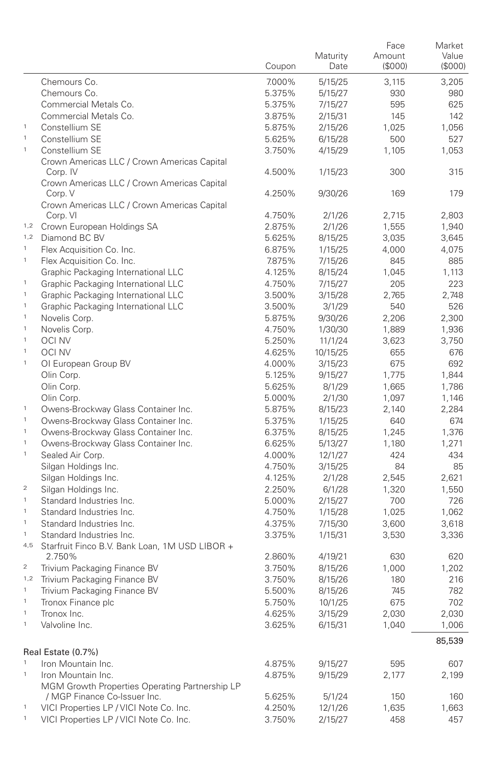|                  |                                                        |        |          | Face   | Market  |
|------------------|--------------------------------------------------------|--------|----------|--------|---------|
|                  |                                                        |        | Maturity | Amount | Value   |
|                  |                                                        | Coupon | Date     | (S000) | (\$000) |
|                  | Chemours Co.                                           | 7.000% | 5/15/25  | 3,115  | 3,205   |
|                  | Chemours Co.                                           | 5.375% | 5/15/27  | 930    | 980     |
|                  | Commercial Metals Co.                                  | 5.375% | 7/15/27  | 595    | 625     |
|                  | Commercial Metals Co.                                  | 3.875% | 2/15/31  | 145    | 142     |
| $\mathbf{1}$     | Constellium SE                                         | 5.875% | 2/15/26  | 1,025  | 1,056   |
| $\mathbf{1}$     | Constellium SE                                         | 5.625% | 6/15/28  | 500    | 527     |
| $\mathbf{1}$     | Constellium SE                                         | 3.750% | 4/15/29  | 1,105  | 1,053   |
|                  | Crown Americas LLC / Crown Americas Capital            |        |          |        |         |
|                  | Corp. IV                                               | 4.500% | 1/15/23  | 300    | 315     |
|                  | Crown Americas LLC / Crown Americas Capital<br>Corp. V | 4.250% | 9/30/26  | 169    | 179     |
|                  | Crown Americas LLC / Crown Americas Capital            |        |          |        |         |
|                  | Corp. VI                                               | 4.750% | 2/1/26   | 2,715  | 2,803   |
| 1,2              | Crown European Holdings SA                             | 2.875% | 2/1/26   | 1,555  | 1,940   |
|                  | 1,2 Diamond BC BV                                      | 5.625% | 8/15/25  | 3,035  | 3,645   |
| $\mathbf{1}$     | Flex Acquisition Co. Inc.                              | 6.875% | 1/15/25  | 4,000  | 4,075   |
| $\mathbf{1}$     | Flex Acquisition Co. Inc.                              | 7.875% | 7/15/26  | 845    | 885     |
|                  | Graphic Packaging International LLC                    | 4.125% | 8/15/24  | 1,045  | 1,113   |
| $\mathbf{1}$     | Graphic Packaging International LLC                    | 4.750% | 7/15/27  | 205    | 223     |
| $\mathbf{1}$     | Graphic Packaging International LLC                    | 3.500% | 3/15/28  | 2,765  | 2,748   |
| $\mathbf{1}$     | Graphic Packaging International LLC                    | 3.500% | 3/1/29   | 540    | 526     |
| $\mathbf{1}$     | Novelis Corp.                                          | 5.875% | 9/30/26  | 2,206  | 2,300   |
| $\mathbf{1}$     | Novelis Corp.                                          | 4.750% | 1/30/30  | 1,889  | 1,936   |
| $\mathbf{1}$     | <b>OCI NV</b>                                          | 5.250% | 11/1/24  | 3,623  | 3,750   |
| $\mathbf{1}$     | <b>OCI NV</b>                                          | 4.625% | 10/15/25 | 655    | 676     |
| $\mathbf{1}$     | OI European Group BV                                   | 4.000% | 3/15/23  | 675    | 692     |
|                  | Olin Corp.                                             | 5.125% | 9/15/27  | 1,775  | 1,844   |
|                  | Olin Corp.                                             | 5.625% | 8/1/29   | 1,665  | 1,786   |
|                  | Olin Corp.                                             | 5.000% | 2/1/30   | 1,097  | 1,146   |
| $\mathbf{1}$     | Owens-Brockway Glass Container Inc.                    | 5.875% | 8/15/23  | 2,140  | 2,284   |
| $\mathbf{1}$     | Owens-Brockway Glass Container Inc.                    | 5.375% | 1/15/25  | 640    | 674     |
| $\mathbf{1}$     | Owens-Brockway Glass Container Inc.                    | 6.375% | 8/15/25  | 1,245  | 1,376   |
| $\mathbf{1}$     | Owens-Brockway Glass Container Inc.                    | 6.625% | 5/13/27  | 1,180  | 1,271   |
| $\mathbf{1}$     | Sealed Air Corp.                                       | 4.000% | 12/1/27  | 424    | 434     |
|                  | Silgan Holdings Inc.                                   | 4.750% | 3/15/25  | 84     | 85      |
|                  | Silgan Holdings Inc.                                   | 4.125% | 2/1/28   | 2,545  | 2,621   |
| $\boldsymbol{2}$ | Silgan Holdings Inc.                                   | 2.250% | 6/1/28   | 1,320  | 1,550   |
| $\mathbf{1}$     | Standard Industries Inc.                               | 5.000% | 2/15/27  | 700    | 726     |
| $\mathbf{1}$     | Standard Industries Inc.                               | 4.750% | 1/15/28  | 1,025  | 1,062   |
| $\mathbf{1}$     | Standard Industries Inc.                               | 4.375% | 7/15/30  | 3,600  | 3,618   |
| $\mathbf{1}$     | Standard Industries Inc.                               | 3.375% | 1/15/31  | 3,530  | 3,336   |
|                  | 4,5 Starfruit Finco B.V. Bank Loan, 1M USD LIBOR +     |        |          |        |         |
|                  | 2.750%                                                 | 2.860% | 4/19/21  | 630    | 620     |
| 2                | Trivium Packaging Finance BV                           | 3.750% | 8/15/26  | 1,000  | 1,202   |
| 1,2              | Trivium Packaging Finance BV                           | 3.750% | 8/15/26  | 180    | 216     |
| $\mathbf{1}$     | Trivium Packaging Finance BV                           | 5.500% | 8/15/26  | 745    | 782     |
| $\mathbf{1}$     | Tronox Finance plc                                     | 5.750% | 10/1/25  | 675    | 702     |
| $\mathbf{1}$     | Tronox Inc.                                            | 4.625% | 3/15/29  | 2,030  | 2,030   |
| $\mathbf{1}$     | Valvoline Inc.                                         | 3.625% | 6/15/31  | 1,040  | 1,006   |
|                  |                                                        |        |          |        | 85,539  |
|                  | Real Estate (0.7%)                                     |        |          |        |         |
| $\mathbf{1}$     | Iron Mountain Inc.                                     | 4.875% | 9/15/27  | 595    | 607     |
| $\mathbf{1}$     | Iron Mountain Inc.                                     | 4.875% | 9/15/29  | 2,177  | 2,199   |
|                  | MGM Growth Properties Operating Partnership LP         |        |          |        |         |
|                  | / MGP Finance Co-Issuer Inc.                           | 5.625% | 5/1/24   | 150    | 160     |
| $\mathbf{1}$     | VICI Properties LP / VICI Note Co. Inc.                | 4.250% | 12/1/26  | 1,635  | 1,663   |
| 1                | VICI Properties LP / VICI Note Co. Inc.                | 3.750% | 2/15/27  | 458    | 457     |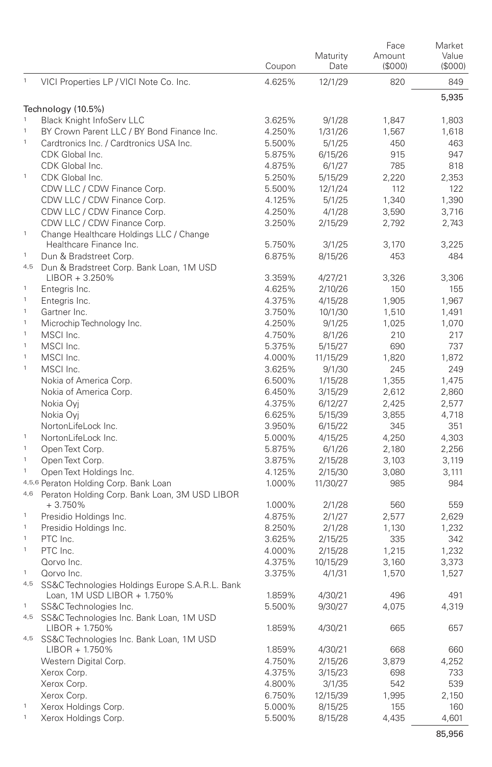|              |                                                                    | Coupon | Maturity<br>Date | Face<br>Amount<br>(\$000) | Market<br>Value<br>(S000) |
|--------------|--------------------------------------------------------------------|--------|------------------|---------------------------|---------------------------|
| $\mathbf{1}$ | VICI Properties LP / VICI Note Co. Inc.                            | 4.625% | 12/1/29          | 820                       | 849                       |
|              |                                                                    |        |                  |                           | 5,935                     |
| $\mathbf{1}$ | Technology (10.5%)                                                 |        |                  |                           |                           |
| $\mathbf{1}$ | <b>Black Knight InfoServ LLC</b>                                   | 3.625% | 9/1/28           | 1,847                     | 1,803                     |
| $\mathbf{1}$ | BY Crown Parent LLC / BY Bond Finance Inc.                         | 4.250% | 1/31/26          | 1,567                     | 1,618                     |
|              | Cardtronics Inc. / Cardtronics USA Inc.                            | 5.500% | 5/1/25           | 450                       | 463                       |
|              | CDK Global Inc.                                                    | 5.875% | 6/15/26          | 915                       | 947                       |
| $\mathbf{1}$ | CDK Global Inc.                                                    | 4.875% | 6/1/27           | 785                       | 818                       |
|              | CDK Global Inc.                                                    | 5.250% | 5/15/29          | 2,220                     | 2,353                     |
|              | CDW LLC / CDW Finance Corp.                                        | 5.500% | 12/1/24          | 112                       | 122                       |
|              | CDW LLC / CDW Finance Corp.                                        | 4.125% | 5/1/25           | 1,340                     | 1,390                     |
|              | CDW LLC / CDW Finance Corp.<br>CDW LLC / CDW Finance Corp.         | 4.250% | 4/1/28           | 3,590                     | 3,716                     |
| $\,$ 1 $\,$  |                                                                    | 3.250% | 2/15/29          | 2,792                     | 2,743                     |
|              | Change Healthcare Holdings LLC / Change<br>Healthcare Finance Inc. | 5.750% | 3/1/25           | 3,170                     | 3,225                     |
| $\mathbf{1}$ | Dun & Bradstreet Corp.                                             | 6.875% | 8/15/26          | 453                       | 484                       |
|              | 4,5 Dun & Bradstreet Corp. Bank Loan, 1M USD                       |        |                  |                           |                           |
|              | $LIBOR + 3.250%$                                                   | 3.359% | 4/27/21          | 3,326                     | 3,306                     |
| $\mathbf{1}$ | Entegris Inc.                                                      | 4.625% | 2/10/26          | 150                       | 155                       |
| $\mathbf{1}$ | Entegris Inc.                                                      | 4.375% | 4/15/28          | 1,905                     | 1,967                     |
| $\mathbf{1}$ | Gartner Inc.                                                       | 3.750% | 10/1/30          | 1,510                     | 1,491                     |
| $\mathbf{1}$ | Microchip Technology Inc.                                          | 4.250% | 9/1/25           | 1,025                     | 1,070                     |
| $\mathbf{1}$ | MSCI Inc.                                                          | 4.750% | 8/1/26           | 210                       | 217                       |
| $\mathbf{1}$ | MSCI Inc.                                                          | 5.375% | 5/15/27          | 690                       | 737                       |
| $\mathbf{1}$ | MSCI Inc.                                                          | 4.000% | 11/15/29         | 1,820                     | 1,872                     |
| $\mathbf{1}$ | MSCI Inc.                                                          | 3.625% | 9/1/30           | 245                       | 249                       |
|              | Nokia of America Corp.                                             | 6.500% | 1/15/28          | 1,355                     | 1,475                     |
|              | Nokia of America Corp.                                             | 6.450% | 3/15/29          | 2,612                     | 2,860                     |
|              | Nokia Oyj                                                          | 4.375% | 6/12/27          | 2,425                     | 2,577                     |
|              | Nokia Oyj                                                          | 6.625% | 5/15/39          | 3,855                     | 4,718                     |
|              | NortonLifeLock Inc.                                                | 3.950% | 6/15/22          | 345                       | 351                       |
| $\mathbf{1}$ | NortonLifeLock Inc.                                                | 5.000% | 4/15/25          | 4,250                     | 4,303                     |
| $\mathbf{1}$ | Open Text Corp.                                                    | 5.875% | 6/1/26           | 2,180                     | 2,256                     |
| $\mathbf{1}$ | Open Text Corp.                                                    | 3.875% | 2/15/28          | 3,103                     | 3,119                     |
| $\,$ 1 $\,$  | Open Text Holdings Inc.                                            | 4.125% | 2/15/30          | 3,080                     | 3,111                     |
|              | 4,5,6 Peraton Holding Corp. Bank Loan                              | 1.000% | 11/30/27         | 985                       | 984                       |
| 4,6          | Peraton Holding Corp. Bank Loan, 3M USD LIBOR                      |        |                  |                           |                           |
|              | $+3.750%$                                                          | 1.000% | 2/1/28           | 560                       | 559                       |
| $\mathbf{1}$ | Presidio Holdings Inc.                                             | 4.875% | 2/1/27           | 2,577                     | 2,629                     |
| $\mathbf 1$  | Presidio Holdings Inc.                                             | 8.250% | 2/1/28           | 1,130                     | 1,232                     |
| $\mathbf{1}$ | PTC Inc.                                                           | 3.625% | 2/15/25          | 335                       | 342                       |
| $\mathbf 1$  | PTC Inc.                                                           | 4.000% | 2/15/28          | 1,215                     | 1,232                     |
|              | Qorvo Inc.                                                         | 4.375% | 10/15/29         | 3,160                     | 3,373                     |
| $\mathbf{1}$ | Qorvo Inc.                                                         | 3.375% | 4/1/31           | 1,570                     | 1,527                     |
| 4,5          | SS&C Technologies Holdings Europe S.A.R.L. Bank                    |        |                  |                           |                           |
|              | Loan, 1M USD LIBOR + 1.750%                                        | 1.859% | 4/30/21          | 496                       | 491                       |
| $\mathbf{1}$ | SS&C Technologies Inc.                                             | 5.500% | 9/30/27          | 4,075                     | 4,319                     |
| 4,5          | SS&C Technologies Inc. Bank Loan, 1M USD<br>LIBOR + 1.750%         | 1.859% | 4/30/21          | 665                       | 657                       |
|              | 4,5 SS&C Technologies Inc. Bank Loan, 1M USD                       |        |                  |                           |                           |
|              | LIBOR + 1.750%                                                     | 1.859% | 4/30/21          | 668                       | 660                       |
|              | Western Digital Corp.                                              | 4.750% | 2/15/26          | 3,879                     | 4,252                     |
|              | Xerox Corp.                                                        | 4.375% | 3/15/23          | 698                       | 733                       |
|              | Xerox Corp.                                                        | 4.800% | 3/1/35           | 542                       | 539                       |
|              | Xerox Corp.                                                        | 6.750% | 12/15/39         | 1,995                     | 2,150                     |
| $\mathbf{1}$ | Xerox Holdings Corp.                                               | 5.000% | 8/15/25          | 155                       | 160                       |
| $\,$ 1 $\,$  | Xerox Holdings Corp.                                               | 5.500% | 8/15/28          | 4,435                     | 4,601                     |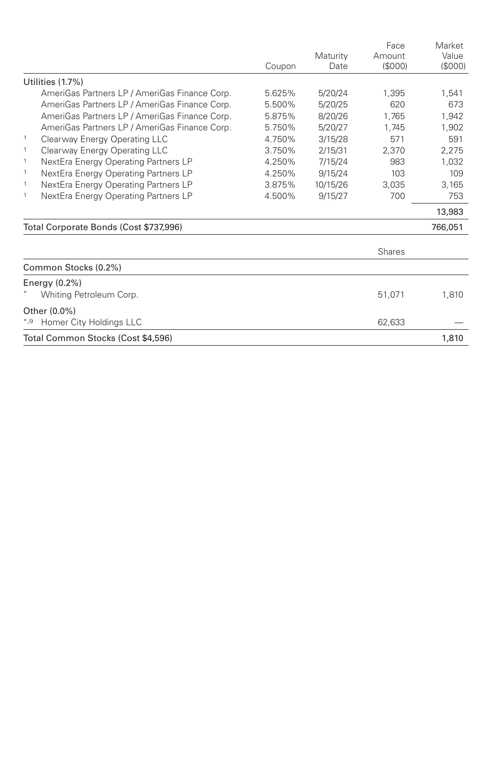|                                                      | Coupon | Maturity<br>Date | Face<br>Amount<br>(S000) | Market<br>Value<br>(S000) |
|------------------------------------------------------|--------|------------------|--------------------------|---------------------------|
| Utilities (1.7%)                                     |        |                  |                          |                           |
| AmeriGas Partners LP / AmeriGas Finance Corp.        | 5.625% | 5/20/24          | 1.395                    | 1.541                     |
| AmeriGas Partners LP / AmeriGas Finance Corp.        | 5.500% | 5/20/25          | 620                      | 673                       |
| AmeriGas Partners LP / AmeriGas Finance Corp.        | 5.875% | 8/20/26          | 1.765                    | 1.942                     |
| AmeriGas Partners LP / AmeriGas Finance Corp.        | 5.750% | 5/20/27          | 1.745                    | 1,902                     |
| $\mathbf{1}$<br>Clearway Energy Operating LLC        | 4.750% | 3/15/28          | 571                      | 591                       |
| $\mathbf{1}$<br>Clearway Energy Operating LLC        | 3.750% | 2/15/31          | 2.370                    | 2.275                     |
| $\mathbf{1}$<br>NextEra Energy Operating Partners LP | 4.250% | 7/15/24          | 983                      | 1.032                     |
| $\mathbf{1}$<br>NextEra Energy Operating Partners LP | 4.250% | 9/15/24          | 103                      | 109                       |
| $\mathbf{1}$<br>NextEra Energy Operating Partners LP | 3.875% | 10/15/26         | 3.035                    | 3.165                     |
| 1<br>NextEra Energy Operating Partners LP            | 4.500% | 9/15/27          | 700                      | 753                       |
|                                                      |        |                  |                          | 13,983                    |
| Total Corporate Bonds (Cost \$737,996)               |        |                  |                          | 766,051                   |
|                                                      |        |                  | Shares                   |                           |
| Common Stocks (0.2%)                                 |        |                  |                          |                           |
| Energy $(0.2\%)$                                     |        |                  |                          |                           |
| Whiting Petroleum Corp.                              |        |                  | 51,071                   | 1,810                     |
| Other (0.0%)                                         |        |                  |                          |                           |
| Homer City Holdings LLC<br>*,9                       |        |                  | 62,633                   |                           |
| Total Common Stocks (Cost \$4,596)                   |        |                  |                          | 1.810                     |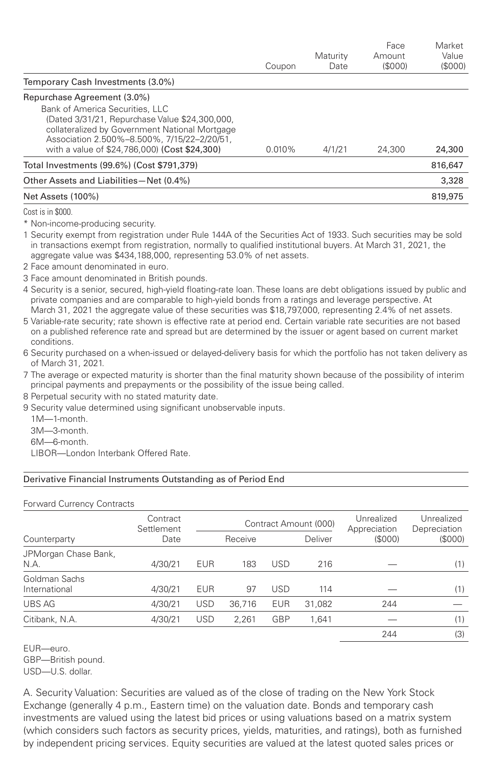|                                                                                                                                                                                                                                                                    | Coupon    | Maturity<br>Date | Face<br>Amount<br>(S000) | Market<br>Value<br>(S000) |
|--------------------------------------------------------------------------------------------------------------------------------------------------------------------------------------------------------------------------------------------------------------------|-----------|------------------|--------------------------|---------------------------|
| Temporary Cash Investments (3.0%)                                                                                                                                                                                                                                  |           |                  |                          |                           |
| Repurchase Agreement (3.0%)<br>Bank of America Securities, LLC<br>(Dated 3/31/21, Repurchase Value \$24,300,000,<br>collateralized by Government National Mortgage<br>Association 2.500%-8.500%, 7/15/22-2/20/51,<br>with a value of \$24,786,000) (Cost \$24,300) | $0.010\%$ | 4/1/21           | 24,300                   | 24,300                    |
| Total Investments (99.6%) (Cost \$791.379)                                                                                                                                                                                                                         |           |                  |                          | 816.647                   |
| Other Assets and Liabilities-Net (0.4%)                                                                                                                                                                                                                            |           |                  |                          | 3,328                     |
| Net Assets (100%)                                                                                                                                                                                                                                                  |           |                  |                          | 819,975                   |

Cost is in \$000.

\* Non-income-producing security.

1 Security exempt from registration under Rule 144A of the Securities Act of 1933. Such securities may be sold in transactions exempt from registration, normally to qualified institutional buyers. At March 31, 2021, the aggregate value was \$434,188,000, representing 53.0% of net assets.

2 Face amount denominated in euro.

3 Face amount denominated in British pounds.

4 Security is a senior, secured, high-yield floating-rate loan. These loans are debt obligations issued by public and private companies and are comparable to high-yield bonds from a ratings and leverage perspective. At March 31, 2021 the aggregate value of these securities was \$18,797,000, representing 2.4% of net assets.

5 Variable-rate security; rate shown is effective rate at period end. Certain variable rate securities are not based on a published reference rate and spread but are determined by the issuer or agent based on current market conditions.

6 Security purchased on a when-issued or delayed-delivery basis for which the portfolio has not taken delivery as of March 31, 2021.

7 The average or expected maturity is shorter than the final maturity shown because of the possibility of interim principal payments and prepayments or the possibility of the issue being called.

8 Perpetual security with no stated maturity date.

9 Security value determined using significant unobservable inputs.

1M—1-month.

3M—3-month.

6M—6-month.

LIBOR—London Interbank Offered Rate.

## Derivative Financial Instruments Outstanding as of Period End

## Forward Currency Contracts

|                                | Contract<br>Settlement<br>Date |            | Contract Amount (000) |            |         | Unrealized<br>Appreciation | Unrealized<br>Depreciation |
|--------------------------------|--------------------------------|------------|-----------------------|------------|---------|----------------------------|----------------------------|
| Counterparty                   |                                |            | Receive               |            | Deliver | (S000)                     | (\$000)                    |
| JPMorgan Chase Bank,<br>N.A.   | 4/30/21                        | <b>EUR</b> | 183                   | <b>USD</b> | 216     |                            | (1)                        |
| Goldman Sachs<br>International | 4/30/21                        | <b>EUR</b> | 97                    | <b>USD</b> | 114     |                            | (1)                        |
| <b>UBS AG</b>                  | 4/30/21                        | <b>USD</b> | 36,716                | <b>EUR</b> | 31,082  | 244                        |                            |
| Citibank, N.A.                 | 4/30/21                        | <b>USD</b> | 2.261                 | GBP        | 1.641   |                            | (1)                        |
|                                |                                |            |                       |            |         | 244                        | (3)                        |

EUR—euro. GBP—British pound. USD—U.S. dollar.

A. Security Valuation: Securities are valued as of the close of trading on the New York Stock Exchange (generally 4 p.m., Eastern time) on the valuation date. Bonds and temporary cash investments are valued using the latest bid prices or using valuations based on a matrix system (which considers such factors as security prices, yields, maturities, and ratings), both as furnished by independent pricing services. Equity securities are valued at the latest quoted sales prices or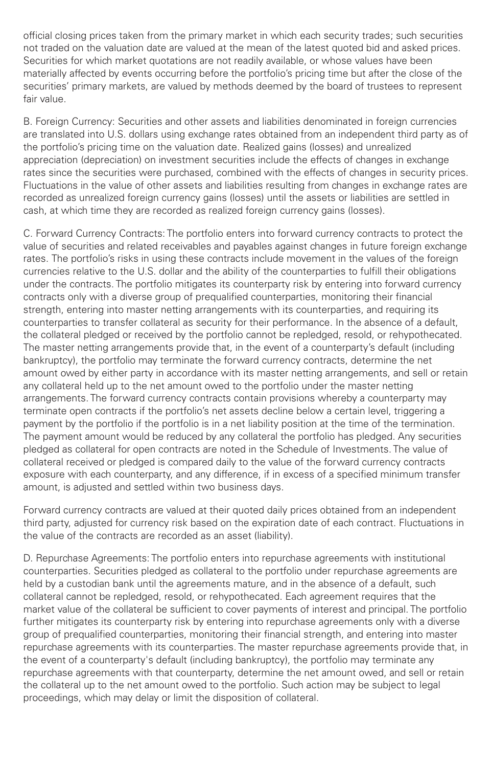official closing prices taken from the primary market in which each security trades; such securities not traded on the valuation date are valued at the mean of the latest quoted bid and asked prices. Securities for which market quotations are not readily available, or whose values have been materially affected by events occurring before the portfolio's pricing time but after the close of the securities' primary markets, are valued by methods deemed by the board of trustees to represent fair value.

B. Foreign Currency: Securities and other assets and liabilities denominated in foreign currencies are translated into U.S. dollars using exchange rates obtained from an independent third party as of the portfolio's pricing time on the valuation date. Realized gains (losses) and unrealized appreciation (depreciation) on investment securities include the effects of changes in exchange rates since the securities were purchased, combined with the effects of changes in security prices. Fluctuations in the value of other assets and liabilities resulting from changes in exchange rates are recorded as unrealized foreign currency gains (losses) until the assets or liabilities are settled in cash, at which time they are recorded as realized foreign currency gains (losses).

C. Forward Currency Contracts: The portfolio enters into forward currency contracts to protect the value of securities and related receivables and payables against changes in future foreign exchange rates. The portfolio's risks in using these contracts include movement in the values of the foreign currencies relative to the U.S. dollar and the ability of the counterparties to fulfill their obligations under the contracts. The portfolio mitigates its counterparty risk by entering into forward currency contracts only with a diverse group of prequalified counterparties, monitoring their financial strength, entering into master netting arrangements with its counterparties, and requiring its counterparties to transfer collateral as security for their performance. In the absence of a default, the collateral pledged or received by the portfolio cannot be repledged, resold, or rehypothecated. The master netting arrangements provide that, in the event of a counterparty's default (including bankruptcy), the portfolio may terminate the forward currency contracts, determine the net amount owed by either party in accordance with its master netting arrangements, and sell or retain any collateral held up to the net amount owed to the portfolio under the master netting arrangements. The forward currency contracts contain provisions whereby a counterparty may terminate open contracts if the portfolio's net assets decline below a certain level, triggering a payment by the portfolio if the portfolio is in a net liability position at the time of the termination. The payment amount would be reduced by any collateral the portfolio has pledged. Any securities pledged as collateral for open contracts are noted in the Schedule of Investments. The value of collateral received or pledged is compared daily to the value of the forward currency contracts exposure with each counterparty, and any difference, if in excess of a specified minimum transfer amount, is adjusted and settled within two business days.

Forward currency contracts are valued at their quoted daily prices obtained from an independent third party, adjusted for currency risk based on the expiration date of each contract. Fluctuations in the value of the contracts are recorded as an asset (liability).

D. Repurchase Agreements: The portfolio enters into repurchase agreements with institutional counterparties. Securities pledged as collateral to the portfolio under repurchase agreements are held by a custodian bank until the agreements mature, and in the absence of a default, such collateral cannot be repledged, resold, or rehypothecated. Each agreement requires that the market value of the collateral be sufficient to cover payments of interest and principal. The portfolio further mitigates its counterparty risk by entering into repurchase agreements only with a diverse group of prequalified counterparties, monitoring their financial strength, and entering into master repurchase agreements with its counterparties. The master repurchase agreements provide that, in the event of a counterparty's default (including bankruptcy), the portfolio may terminate any repurchase agreements with that counterparty, determine the net amount owed, and sell or retain the collateral up to the net amount owed to the portfolio. Such action may be subject to legal proceedings, which may delay or limit the disposition of collateral.